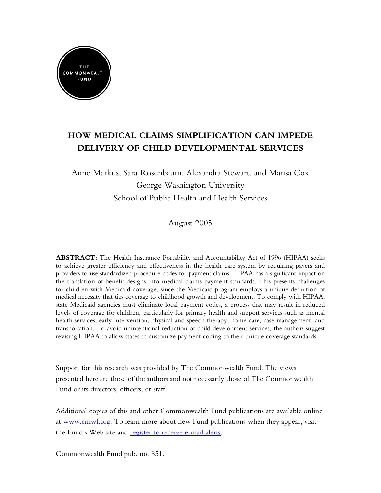

# **HOW MEDICAL CLAIMS SIMPLIFICATION CAN IMPEDE DELIVERY OF CHILD DEVELOPMENTAL SERVICES**

Anne Markus, Sara Rosenbaum, Alexandra Stewart, and Marisa Cox George Washington University School of Public Health and Health Services

August 2005

**ABSTRACT:** The Health Insurance Portability and Accountability Act of 1996 (HIPAA) seeks to achieve greater efficiency and effectiveness in the health care system by requiring payers and providers to use standardized procedure codes for payment claims. HIPAA has a significant impact on the translation of benefit designs into medical claims payment standards. This presents challenges for children with Medicaid coverage, since the Medicaid program employs a unique definition of medical necessity that ties coverage to childhood growth and development. To comply with HIPAA, state Medicaid agencies must eliminate local payment codes, a process that may result in reduced levels of coverage for children, particularly for primary health and support services such as mental health services, early intervention, physical and speech therapy, home care, case management, and transportation. To avoid unintentional reduction of child development services, the authors suggest revising HIPAA to allow states to customize payment coding to their unique coverage standards.

Support for this research was provided by The Commonwealth Fund. The views presented here are those of the authors and not necessarily those of The Commonwealth Fund or its directors, officers, or staff.

Additional copies of this and other Commonwealth Fund publications are available online at [www.cmwf.org](http://www.commonwealthfund.org). To learn more about new Fund publications when they appear, visit the Fund's Web site and [register to receive e-mail alerts.](http://www.cmwf.org/emailalert/emailalert.htm)

Commonwealth Fund pub. no. 851.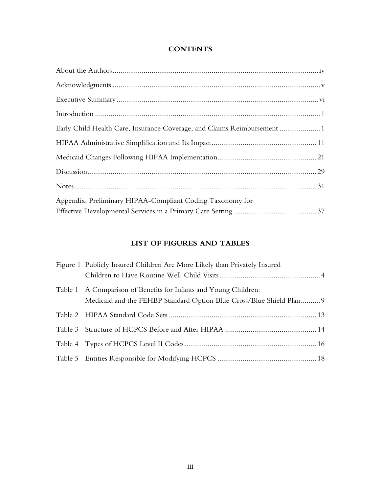### **CONTENTS**

| Early Child Health Care, Insurance Coverage, and Claims Reimbursement |
|-----------------------------------------------------------------------|
|                                                                       |
|                                                                       |
|                                                                       |
|                                                                       |
| Appendix. Preliminary HIPAA-Compliant Coding Taxonomy for             |
|                                                                       |

## **LIST OF FIGURES AND TABLES**

| Figure 1 Publicly Insured Children Are More Likely than Privately Insured |
|---------------------------------------------------------------------------|
|                                                                           |
| Table 1 A Comparison of Benefits for Infants and Young Children:          |
| Medicaid and the FEHBP Standard Option Blue Cross/Blue Shield Plan 9      |
|                                                                           |
|                                                                           |
|                                                                           |
|                                                                           |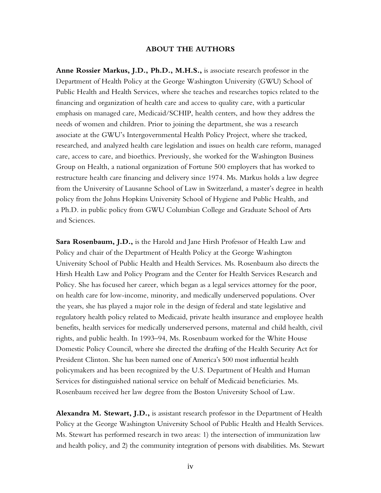#### **ABOUT THE AUTHORS**

**Anne Rossier Markus, J.D., Ph.D., M.H.S.,** is associate research professor in the Department of Health Policy at the George Washington University (GWU) School of Public Health and Health Services, where she teaches and researches topics related to the financing and organization of health care and access to quality care, with a particular emphasis on managed care, Medicaid/SCHIP, health centers, and how they address the needs of women and children. Prior to joining the department, she was a research associate at the GWU's Intergovernmental Health Policy Project, where she tracked, researched, and analyzed health care legislation and issues on health care reform, managed care, access to care, and bioethics. Previously, she worked for the Washington Business Group on Health, a national organization of Fortune 500 employers that has worked to restructure health care financing and delivery since 1974. Ms. Markus holds a law degree from the University of Lausanne School of Law in Switzerland, a master's degree in health policy from the Johns Hopkins University School of Hygiene and Public Health, and a Ph.D. in public policy from GWU Columbian College and Graduate School of Arts and Sciences.

**Sara Rosenbaum, J.D.,** is the Harold and Jane Hirsh Professor of Health Law and Policy and chair of the Department of Health Policy at the George Washington University School of Public Health and Health Services. Ms. Rosenbaum also directs the Hirsh Health Law and Policy Program and the Center for Health Services Research and Policy. She has focused her career, which began as a legal services attorney for the poor, on health care for low-income, minority, and medically underserved populations. Over the years, she has played a major role in the design of federal and state legislative and regulatory health policy related to Medicaid, private health insurance and employee health benefits, health services for medically underserved persons, maternal and child health, civil rights, and public health. In 1993–94, Ms. Rosenbaum worked for the White House Domestic Policy Council, where she directed the drafting of the Health Security Act for President Clinton. She has been named one of America's 500 most influential health policymakers and has been recognized by the U.S. Department of Health and Human Services for distinguished national service on behalf of Medicaid beneficiaries. Ms. Rosenbaum received her law degree from the Boston University School of Law.

**Alexandra M. Stewart, J.D.,** is assistant research professor in the Department of Health Policy at the George Washington University School of Public Health and Health Services. Ms. Stewart has performed research in two areas: 1) the intersection of immunization law and health policy, and 2) the community integration of persons with disabilities. Ms. Stewart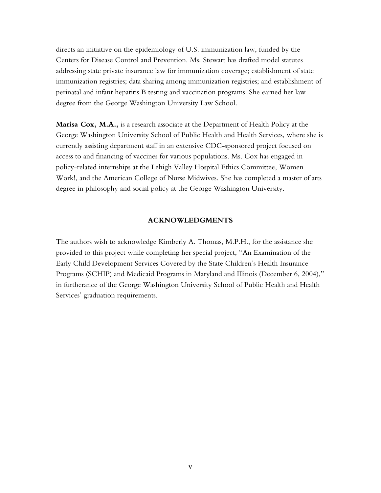directs an initiative on the epidemiology of U.S. immunization law, funded by the Centers for Disease Control and Prevention. Ms. Stewart has drafted model statutes addressing state private insurance law for immunization coverage; establishment of state immunization registries; data sharing among immunization registries; and establishment of perinatal and infant hepatitis B testing and vaccination programs. She earned her law degree from the George Washington University Law School.

**Marisa Cox, M.A.,** is a research associate at the Department of Health Policy at the George Washington University School of Public Health and Health Services, where she is currently assisting department staff in an extensive CDC-sponsored project focused on access to and financing of vaccines for various populations. Ms. Cox has engaged in policy-related internships at the Lehigh Valley Hospital Ethics Committee, Women Work!, and the American College of Nurse Midwives. She has completed a master of arts degree in philosophy and social policy at the George Washington University.

#### **ACKNOWLEDGMENTS**

The authors wish to acknowledge Kimberly A. Thomas, M.P.H., for the assistance she provided to this project while completing her special project, "An Examination of the Early Child Development Services Covered by the State Children's Health Insurance Programs (SCHIP) and Medicaid Programs in Maryland and Illinois (December 6, 2004)," in furtherance of the George Washington University School of Public Health and Health Services' graduation requirements.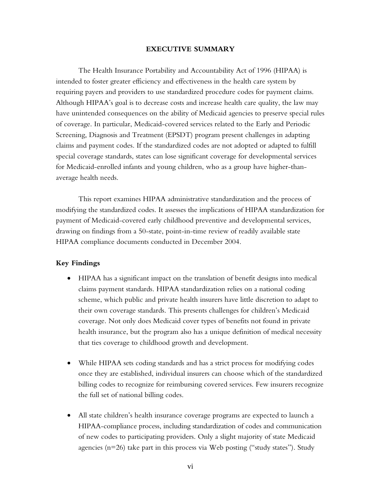#### **EXECUTIVE SUMMARY**

The Health Insurance Portability and Accountability Act of 1996 (HIPAA) is intended to foster greater efficiency and effectiveness in the health care system by requiring payers and providers to use standardized procedure codes for payment claims. Although HIPAA's goal is to decrease costs and increase health care quality, the law may have unintended consequences on the ability of Medicaid agencies to preserve special rules of coverage. In particular, Medicaid-covered services related to the Early and Periodic Screening, Diagnosis and Treatment (EPSDT) program present challenges in adapting claims and payment codes. If the standardized codes are not adopted or adapted to fulfill special coverage standards, states can lose significant coverage for developmental services for Medicaid-enrolled infants and young children, who as a group have higher-thanaverage health needs.

This report examines HIPAA administrative standardization and the process of modifying the standardized codes. It assesses the implications of HIPAA standardization for payment of Medicaid-covered early childhood preventive and developmental services, drawing on findings from a 50-state, point-in-time review of readily available state HIPAA compliance documents conducted in December 2004.

#### **Key Findings**

- HIPAA has a significant impact on the translation of benefit designs into medical claims payment standards. HIPAA standardization relies on a national coding scheme, which public and private health insurers have little discretion to adapt to their own coverage standards. This presents challenges for children's Medicaid coverage. Not only does Medicaid cover types of benefits not found in private health insurance, but the program also has a unique definition of medical necessity that ties coverage to childhood growth and development.
- While HIPAA sets coding standards and has a strict process for modifying codes once they are established, individual insurers can choose which of the standardized billing codes to recognize for reimbursing covered services. Few insurers recognize the full set of national billing codes.
- All state children's health insurance coverage programs are expected to launch a HIPAA-compliance process, including standardization of codes and communication of new codes to participating providers. Only a slight majority of state Medicaid agencies ( $n=26$ ) take part in this process via Web posting ("study states"). Study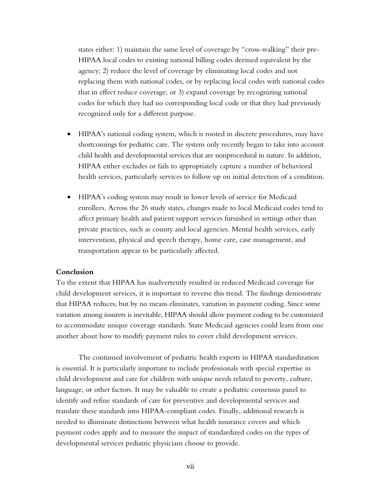states either: 1) maintain the same level of coverage by "cross-walking" their pre-HIPAA local codes to existing national billing codes deemed equivalent by the agency; 2) reduce the level of coverage by eliminating local codes and not replacing them with national codes, or by replacing local codes with national codes that in effect reduce coverage; or 3) expand coverage by recognizing national codes for which they had no corresponding local code or that they had previously recognized only for a different purpose.

- HIPAA's national coding system, which is rooted in discrete procedures, may have shortcomings for pediatric care. The system only recently began to take into account child health and developmental services that are nonprocedural in nature. In addition, HIPAA either excludes or fails to appropriately capture a number of behavioral health services, particularly services to follow up on initial detection of a condition.
- HIPAA's coding system may result in lower levels of service for Medicaid enrollees. Across the 26 study states, changes made to local Medicaid codes tend to affect primary health and patient support services furnished in settings other than private practices, such as county and local agencies. Mental health services, early intervention, physical and speech therapy, home care, case management, and transportation appear to be particularly affected.

#### **Conclusion**

To the extent that HIPAA has inadvertently resulted in reduced Medicaid coverage for child development services, it is important to reverse this trend. The findings demonstrate that HIPAA reduces, but by no means eliminates, variation in payment coding. Since some variation among insurers is inevitable, HIPAA should allow payment coding to be customized to accommodate unique coverage standards. State Medicaid agencies could learn from one another about how to modify payment rules to cover child development services.

The continued involvement of pediatric health experts in HIPAA standardization is essential. It is particularly important to include professionals with special expertise in child development and care for children with unique needs related to poverty, culture, language, or other factors. It may be valuable to create a pediatric consensus panel to identify and refine standards of care for preventive and developmental services and translate these standards into HIPAA-compliant codes. Finally, additional research is needed to illuminate distinctions between what health insurance covers and which payment codes apply and to measure the impact of standardized codes on the types of developmental services pediatric physicians choose to provide.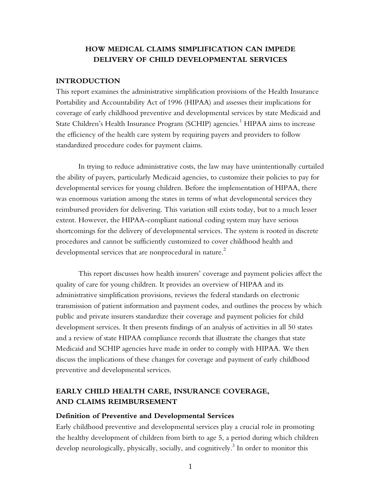## **HOW MEDICAL CLAIMS SIMPLIFICATION CAN IMPEDE DELIVERY OF CHILD DEVELOPMENTAL SERVICES**

#### **INTRODUCTION**

This report examines the administrative simplification provisions of the Health Insurance Portability and Accountability Act of 1996 (HIPAA) and assesses their implications for coverage of early childhood preventive and developmental services by state Medicaid and State Children's Health Insurance Program (SCHIP) agencies. $^1$  HIPAA aims to increase the efficiency of the health care system by requiring payers and providers to follow standardized procedure codes for payment claims.

In trying to reduce administrative costs, the law may have unintentionally curtailed the ability of payers, particularly Medicaid agencies, to customize their policies to pay for developmental services for young children. Before the implementation of HIPAA, there was enormous variation among the states in terms of what developmental services they reimbursed providers for delivering. This variation still exists today, but to a much lesser extent. However, the HIPAA-compliant national coding system may have serious shortcomings for the delivery of developmental services. The system is rooted in discrete procedures and cannot be sufficiently customized to cover childhood health and developmental services that are nonprocedural in nature.<sup>2</sup>

This report discusses how health insurers' coverage and payment policies affect the quality of care for young children. It provides an overview of HIPAA and its administrative simplification provisions, reviews the federal standards on electronic transmission of patient information and payment codes, and outlines the process by which public and private insurers standardize their coverage and payment policies for child development services. It then presents findings of an analysis of activities in all 50 states and a review of state HIPAA compliance records that illustrate the changes that state Medicaid and SCHIP agencies have made in order to comply with HIPAA. We then discuss the implications of these changes for coverage and payment of early childhood preventive and developmental services.

## **EARLY CHILD HEALTH CARE, INSURANCE COVERAGE, AND CLAIMS REIMBURSEMENT**

#### **Definition of Preventive and Developmental Services**

Early childhood preventive and developmental services play a crucial role in promoting the healthy development of children from birth to age 5, a period during which children develop neurologically, physically, socially, and cognitively. $^3$  In order to monitor this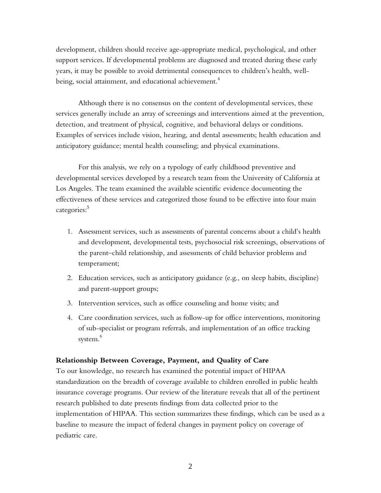development, children should receive age-appropriate medical, psychological, and other support services. If developmental problems are diagnosed and treated during these early years, it may be possible to avoid detrimental consequences to children's health, wellbeing, social attainment, and educational achievement.<sup>4</sup>

Although there is no consensus on the content of developmental services, these services generally include an array of screenings and interventions aimed at the prevention, detection, and treatment of physical, cognitive, and behavioral delays or conditions. Examples of services include vision, hearing, and dental assessments; health education and anticipatory guidance; mental health counseling; and physical examinations.

For this analysis, we rely on a typology of early childhood preventive and developmental services developed by a research team from the University of California at Los Angeles. The team examined the available scientific evidence documenting the effectiveness of these services and categorized those found to be effective into four main categories:<sup>5</sup>

- 1. Assessment services, such as assessments of parental concerns about a child's health and development, developmental tests, psychosocial risk screenings, observations of the parent–child relationship, and assessments of child behavior problems and temperament;
- 2. Education services, such as anticipatory guidance (e.g., on sleep habits, discipline) and parent-support groups;
- 3. Intervention services, such as office counseling and home visits; and
- 4. Care coordination services, such as follow-up for office interventions, monitoring of sub-specialist or program referrals, and implementation of an office tracking system.<sup>6</sup>

#### **Relationship Between Coverage, Payment, and Quality of Care**

To our knowledge, no research has examined the potential impact of HIPAA standardization on the breadth of coverage available to children enrolled in public health insurance coverage programs. Our review of the literature reveals that all of the pertinent research published to date presents findings from data collected prior to the implementation of HIPAA. This section summarizes these findings, which can be used as a baseline to measure the impact of federal changes in payment policy on coverage of pediatric care.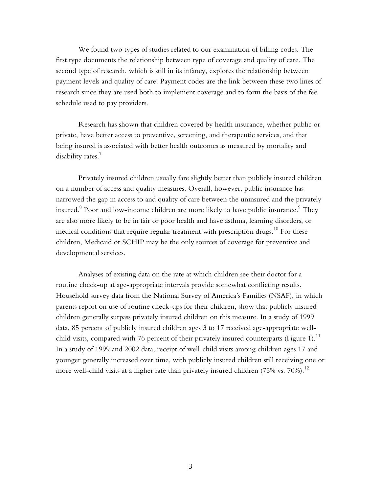We found two types of studies related to our examination of billing codes. The first type documents the relationship between type of coverage and quality of care. The second type of research, which is still in its infancy, explores the relationship between payment levels and quality of care. Payment codes are the link between these two lines of research since they are used both to implement coverage and to form the basis of the fee schedule used to pay providers.

Research has shown that children covered by health insurance, whether public or private, have better access to preventive, screening, and therapeutic services, and that being insured is associated with better health outcomes as measured by mortality and disability rates.<sup>7</sup>

Privately insured children usually fare slightly better than publicly insured children on a number of access and quality measures. Overall, however, public insurance has narrowed the gap in access to and quality of care between the uninsured and the privately insured. $^8$  Poor and low-income children are more likely to have public insurance. $^9$  They are also more likely to be in fair or poor health and have asthma, learning disorders, or medical conditions that require regular treatment with prescription drugs.<sup>10</sup> For these children, Medicaid or SCHIP may be the only sources of coverage for preventive and developmental services.

Analyses of existing data on the rate at which children see their doctor for a routine check-up at age-appropriate intervals provide somewhat conflicting results. Household survey data from the National Survey of America's Families (NSAF), in which parents report on use of routine check-ups for their children, show that publicly insured children generally surpass privately insured children on this measure. In a study of 1999 data, 85 percent of publicly insured children ages 3 to 17 received age-appropriate wellchild visits, compared with 76 percent of their privately insured counterparts (Figure 1).<sup>11</sup> In a study of 1999 and 2002 data, receipt of well-child visits among children ages 17 and younger generally increased over time, with publicly insured children still receiving one or more well-child visits at a higher rate than privately insured children (75% vs. 70%).<sup>12</sup>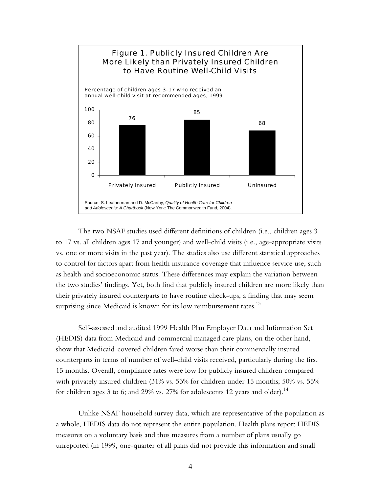<span id="page-11-0"></span>

The two NSAF studies used different definitions of children (i.e., children ages 3 to 17 vs. all children ages 17 and younger) and well-child visits (i.e., age-appropriate visits vs. one or more visits in the past year). The studies also use different statistical approaches to control for factors apart from health insurance coverage that influence service use, such as health and socioeconomic status. These differences may explain the variation between the two studies' findings. Yet, both find that publicly insured children are more likely than their privately insured counterparts to have routine check-ups, a finding that may seem surprising since Medicaid is known for its low reimbursement rates.<sup>13</sup>

Self-assessed and audited 1999 Health Plan Employer Data and Information Set (HEDIS) data from Medicaid and commercial managed care plans, on the other hand, show that Medicaid-covered children fared worse than their commercially insured counterparts in terms of number of well-child visits received, particularly during the first 15 months. Overall, compliance rates were low for publicly insured children compared with privately insured children (31% vs. 53% for children under 15 months; 50% vs. 55% for children ages 3 to 6; and 29% vs. 27% for adolescents 12 years and older).<sup>14</sup>

Unlike NSAF household survey data, which are representative of the population as a whole, HEDIS data do not represent the entire population. Health plans report HEDIS measures on a voluntary basis and thus measures from a number of plans usually go unreported (in 1999, one-quarter of all plans did not provide this information and small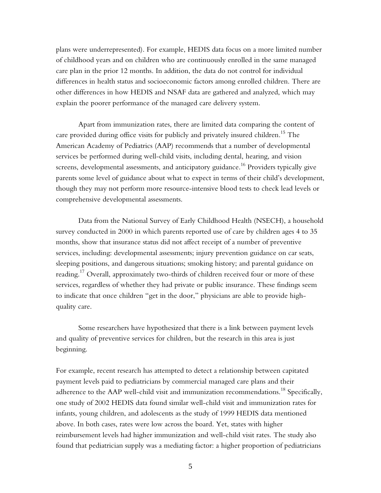plans were underrepresented). For example, HEDIS data focus on a more limited number of childhood years and on children who are continuously enrolled in the same managed care plan in the prior 12 months. In addition, the data do not control for individual differences in health status and socioeconomic factors among enrolled children. There are other differences in how HEDIS and NSAF data are gathered and analyzed, which may explain the poorer performance of the managed care delivery system.

Apart from immunization rates, there are limited data comparing the content of care provided during office visits for publicly and privately insured children.<sup>15</sup> The American Academy of Pediatrics (AAP) recommends that a number of developmental services be performed during well-child visits, including dental, hearing, and vision screens, developmental assessments, and anticipatory guidance. $^{16}$  Providers typically give parents some level of guidance about what to expect in terms of their child's development, though they may not perform more resource-intensive blood tests to check lead levels or comprehensive developmental assessments.

Data from the National Survey of Early Childhood Health (NSECH), a household survey conducted in 2000 in which parents reported use of care by children ages 4 to 35 months, show that insurance status did not affect receipt of a number of preventive services, including: developmental assessments; injury prevention guidance on car seats, sleeping positions, and dangerous situations; smoking history; and parental guidance on reading.<sup>17</sup> Overall, approximately two-thirds of children received four or more of these services, regardless of whether they had private or public insurance. These findings seem to indicate that once children "get in the door," physicians are able to provide highquality care.

Some researchers have hypothesized that there is a link between payment levels and quality of preventive services for children, but the research in this area is just beginning.

For example, recent research has attempted to detect a relationship between capitated payment levels paid to pediatricians by commercial managed care plans and their adherence to the AAP well-child visit and immunization recommendations.<sup>18</sup> Specifically, one study of 2002 HEDIS data found similar well-child visit and immunization rates for infants, young children, and adolescents as the study of 1999 HEDIS data mentioned above. In both cases, rates were low across the board. Yet, states with higher reimbursement levels had higher immunization and well-child visit rates. The study also found that pediatrician supply was a mediating factor: a higher proportion of pediatricians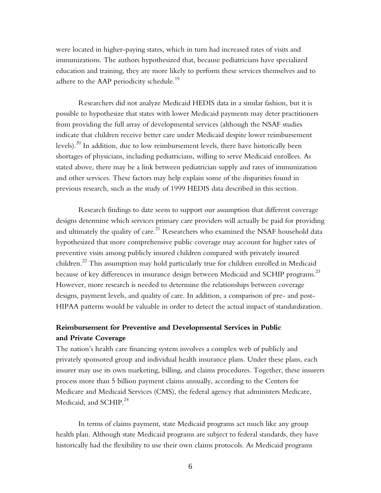were located in higher-paying states, which in turn had increased rates of visits and immunizations. The authors hypothesized that, because pediatricians have specialized education and training, they are more likely to perform these services themselves and to adhere to the AAP periodicity schedule.<sup>19</sup>

Researchers did not analyze Medicaid HEDIS data in a similar fashion, but it is possible to hypothesize that states with lower Medicaid payments may deter practitioners from providing the full array of developmental services (although the NSAF studies indicate that children receive better care under Medicaid despite lower reimbursement levels).<sup>20</sup> In addition, due to low reimbursement levels, there have historically been shortages of physicians, including pediatricians, willing to serve Medicaid enrollees. As stated above, there may be a link between pediatrician supply and rates of immunization and other services. These factors may help explain some of the disparities found in previous research, such as the study of 1999 HEDIS data described in this section.

Research findings to date seem to support our assumption that different coverage designs determine which services primary care providers will actually be paid for providing and ultimately the quality of care.<sup>21</sup> Researchers who examined the NSAF household data hypothesized that more comprehensive public coverage may account for higher rates of preventive visits among publicly insured children compared with privately insured children.22 This assumption may hold particularly true for children enrolled in Medicaid because of key differences in insurance design between Medicaid and SCHIP programs. $^{23}$ However, more research is needed to determine the relationships between coverage designs, payment levels, and quality of care. In addition, a comparison of pre- and post-HIPAA patterns would be valuable in order to detect the actual impact of standardization.

## **Reimbursement for Preventive and Developmental Services in Public and Private Coverage**

The nation's health care financing system involves a complex web of publicly and privately sponsored group and individual health insurance plans. Under these plans, each insurer may use its own marketing, billing, and claims procedures. Together, these insurers process more than 5 billion payment claims annually, according to the Centers for Medicare and Medicaid Services (CMS), the federal agency that administers Medicare, Medicaid, and SCHIP.<sup>24</sup>

In terms of claims payment, state Medicaid programs act much like any group health plan. Although state Medicaid programs are subject to federal standards, they have historically had the flexibility to use their own claims protocols. As Medicaid programs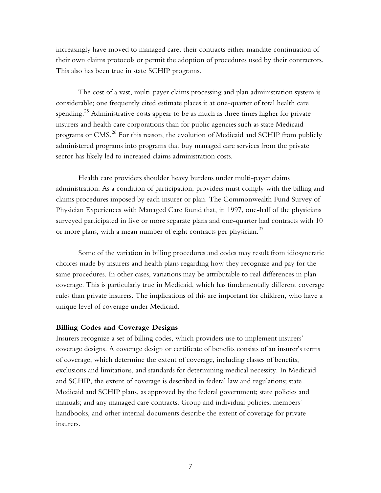increasingly have moved to managed care, their contracts either mandate continuation of their own claims protocols or permit the adoption of procedures used by their contractors. This also has been true in state SCHIP programs.

The cost of a vast, multi-payer claims processing and plan administration system is considerable; one frequently cited estimate places it at one-quarter of total health care spending.<sup>25</sup> Administrative costs appear to be as much as three times higher for private insurers and health care corporations than for public agencies such as state Medicaid programs or CMS.<sup>26</sup> For this reason, the evolution of Medicaid and SCHIP from publicly administered programs into programs that buy managed care services from the private sector has likely led to increased claims administration costs.

Health care providers shoulder heavy burdens under multi-payer claims administration. As a condition of participation, providers must comply with the billing and claims procedures imposed by each insurer or plan. The Commonwealth Fund Survey of Physician Experiences with Managed Care found that, in 1997, one-half of the physicians surveyed participated in five or more separate plans and one-quarter had contracts with 10 or more plans, with a mean number of eight contracts per physician.<sup>27</sup>

Some of the variation in billing procedures and codes may result from idiosyncratic choices made by insurers and health plans regarding how they recognize and pay for the same procedures. In other cases, variations may be attributable to real differences in plan coverage. This is particularly true in Medicaid, which has fundamentally different coverage rules than private insurers. The implications of this are important for children, who have a unique level of coverage under Medicaid.

#### **Billing Codes and Coverage Designs**

Insurers recognize a set of billing codes, which providers use to implement insurers' coverage designs. A coverage design or certificate of benefits consists of an insurer's terms of coverage, which determine the extent of coverage, including classes of benefits, exclusions and limitations, and standards for determining medical necessity. In Medicaid and SCHIP, the extent of coverage is described in federal law and regulations; state Medicaid and SCHIP plans, as approved by the federal government; state policies and manuals; and any managed care contracts. Group and individual policies, members' handbooks, and other internal documents describe the extent of coverage for private insurers.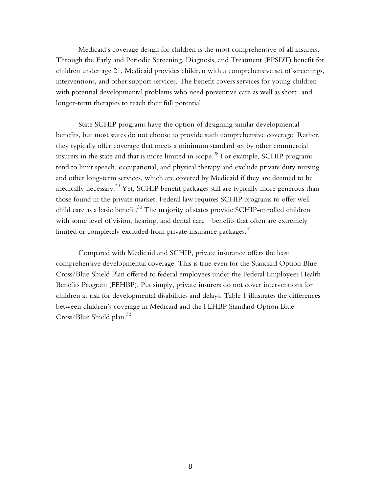Medicaid's coverage design for children is the most comprehensive of all insurers. Through the Early and Periodic Screening, Diagnosis, and Treatment (EPSDT) benefit for children under age 21, Medicaid provides children with a comprehensive set of screenings, interventions, and other support services. The benefit covers services for young children with potential developmental problems who need preventive care as well as short- and longer-term therapies to reach their full potential.

State SCHIP programs have the option of designing similar developmental benefits, but most states do not choose to provide such comprehensive coverage. Rather, they typically offer coverage that meets a minimum standard set by other commercial insurers in the state and that is more limited in scope.<sup>28</sup> For example, SCHIP programs tend to limit speech, occupational, and physical therapy and exclude private duty nursing and other long-term services, which are covered by Medicaid if they are deemed to be medically necessary.<sup>29</sup> Yet, SCHIP benefit packages still are typically more generous than those found in the private market. Federal law requires SCHIP programs to offer wellchild care as a basic benefit.<sup>30</sup> The majority of states provide SCHIP-enrolled children with some level of vision, hearing, and dental care—benefits that often are extremely limited or completely excluded from private insurance packages.<sup>31</sup>

Compared with Medicaid and SCHIP, private insurance offers the least comprehensive developmental coverage. This is true even for the Standard Option Blue Cross/Blue Shield Plan offered to federal employees under the Federal Employees Health Benefits Program (FEHBP). Put simply, private insurers do not cover interventions for children at risk for developmental disabilities and delays. Table 1 illustrates the differences between children's coverage in Medicaid and the FEHBP Standard Option Blue Cross/Blue Shield plan.<sup>32</sup>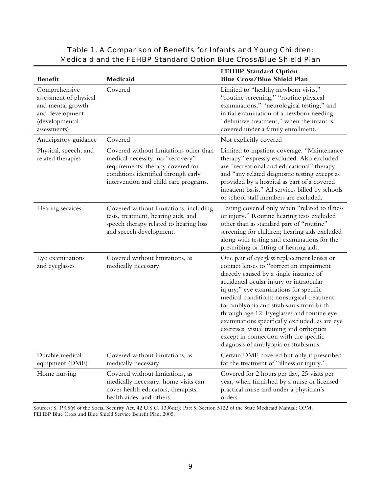| <b>Benefit</b>                                                                                                    | Medicaid                                                                                                                                                                                        | <b>FEHBP Standard Option</b><br>Blue Cross/Blue Shield Plan                                                                                                                                                                                                                                                                                                                                                                                                                                                                                    |
|-------------------------------------------------------------------------------------------------------------------|-------------------------------------------------------------------------------------------------------------------------------------------------------------------------------------------------|------------------------------------------------------------------------------------------------------------------------------------------------------------------------------------------------------------------------------------------------------------------------------------------------------------------------------------------------------------------------------------------------------------------------------------------------------------------------------------------------------------------------------------------------|
| Comprehensive<br>assessment of physical<br>and mental growth<br>and development<br>(developmental<br>assessments) | Covered                                                                                                                                                                                         | Limited to "healthy newborn visits,"<br>"routine screening," "routine physical<br>examinations," "neurological testing," and<br>initial examination of a newborn needing<br>"definitive treatment," when the infant is<br>covered under a family enrollment.                                                                                                                                                                                                                                                                                   |
| Anticipatory guidance                                                                                             | Covered                                                                                                                                                                                         | Not explicitly covered                                                                                                                                                                                                                                                                                                                                                                                                                                                                                                                         |
| Physical, speech, and<br>related therapies                                                                        | Covered without limitations other than<br>medical necessity; no "recovery"<br>requirements; therapy covered for<br>conditions identified through early<br>intervention and child care programs. | Limited to inpatient coverage. "Maintenance<br>therapy" expressly excluded. Also excluded<br>are "recreational and educational" therapy<br>and "any related diagnostic testing except as<br>provided by a hospital as part of a covered<br>inpatient basis." All services billed by schools<br>or school staff members are excluded.                                                                                                                                                                                                           |
| Hearing services                                                                                                  | Covered without limitations, including<br>tests, treatment, hearing aids, and<br>speech therapy related to hearing loss<br>and speech development.                                              | Testing covered only when "related to illness<br>or injury." Routine hearing tests excluded<br>other than as standard part of "routine"<br>screening for children; hearing aids excluded<br>along with testing and examinations for the<br>prescribing or fitting of hearing aids.                                                                                                                                                                                                                                                             |
| Eye examinations<br>and eyeglasses                                                                                | Covered without limitations, as<br>medically necessary.                                                                                                                                         | One pair of eyeglass replacement lenses or<br>contact lenses to "correct an impairment<br>directly caused by a single instance of<br>accidental ocular injury or intraocular<br>injury;" eye examinations for specific<br>medical conditions; nonsurgical treatment<br>for amblyopia and strabismus from birth<br>through age 12. Eyeglasses and routine eye<br>examinations specifically excluded, as are eye<br>exercises, visual training and orthoptics<br>except in connection with the specific<br>diagnosis of amblyopia or strabismus. |
| Durable medical<br>equipment (DME)                                                                                | Covered without limitations, as<br>medically necessary.                                                                                                                                         | Certain DME covered but only if prescribed<br>for the treatment of "illness or injury."                                                                                                                                                                                                                                                                                                                                                                                                                                                        |
| Home nursing                                                                                                      | Covered without limitations, as<br>medically necessary; home visits can<br>cover health educators, therapists,<br>health aides, and others.                                                     | Covered for 2 hours per day, 25 visits per<br>year, when furnished by a nurse or licensed<br>practical nurse and under a physician's<br>orders.                                                                                                                                                                                                                                                                                                                                                                                                |

## Table 1. A Comparison of Benefits for Infants and Young Children: Medicaid and the FEHBP Standard Option Blue Cross/Blue Shield Plan

Sources: S. 1905(r) of the Social Security Act, 42 U.S.C. 1396d(r); Part 5, Section 5122 of the State Medicaid Manual; OPM, FEHBP Blue Cross and Blue Shield Service Benefit Plan, 2005.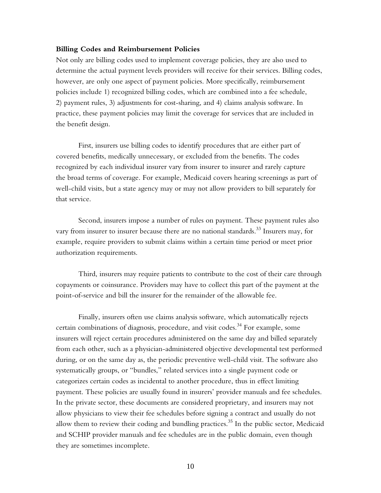#### **Billing Codes and Reimbursement Policies**

Not only are billing codes used to implement coverage policies, they are also used to determine the actual payment levels providers will receive for their services. Billing codes, however, are only one aspect of payment policies. More specifically, reimbursement policies include 1) recognized billing codes, which are combined into a fee schedule, 2) payment rules, 3) adjustments for cost-sharing, and 4) claims analysis software. In practice, these payment policies may limit the coverage for services that are included in the benefit design.

First, insurers use billing codes to identify procedures that are either part of covered benefits, medically unnecessary, or excluded from the benefits. The codes recognized by each individual insurer vary from insurer to insurer and rarely capture the broad terms of coverage. For example, Medicaid covers hearing screenings as part of well-child visits, but a state agency may or may not allow providers to bill separately for that service.

Second, insurers impose a number of rules on payment. These payment rules also vary from insurer to insurer because there are no national standards.<sup>33</sup> Insurers may, for example, require providers to submit claims within a certain time period or meet prior authorization requirements.

Third, insurers may require patients to contribute to the cost of their care through copayments or coinsurance. Providers may have to collect this part of the payment at the point-of-service and bill the insurer for the remainder of the allowable fee.

Finally, insurers often use claims analysis software, which automatically rejects certain combinations of diagnosis, procedure, and visit codes.<sup>34</sup> For example, some insurers will reject certain procedures administered on the same day and billed separately from each other, such as a physician-administered objective developmental test performed during, or on the same day as, the periodic preventive well-child visit. The software also systematically groups, or "bundles," related services into a single payment code or categorizes certain codes as incidental to another procedure, thus in effect limiting payment. These policies are usually found in insurers' provider manuals and fee schedules. In the private sector, these documents are considered proprietary, and insurers may not allow physicians to view their fee schedules before signing a contract and usually do not allow them to review their coding and bundling practices.<sup>35</sup> In the public sector, Medicaid and SCHIP provider manuals and fee schedules are in the public domain, even though they are sometimes incomplete.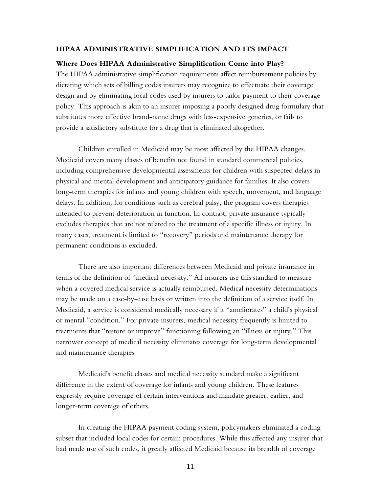#### **HIPAA ADMINISTRATIVE SIMPLIFICATION AND ITS IMPACT**

#### **Where Does HIPAA Administrative Simplification Come into Play?**

The HIPAA administrative simplification requirements affect reimbursement policies by dictating which sets of billing codes insurers may recognize to effectuate their coverage design and by eliminating local codes used by insurers to tailor payment to their coverage policy. This approach is akin to an insurer imposing a poorly designed drug formulary that substitutes more effective brand-name drugs with less-expensive generics, or fails to provide a satisfactory substitute for a drug that is eliminated altogether.

Children enrolled in Medicaid may be most affected by the HIPAA changes. Medicaid covers many classes of benefits not found in standard commercial policies, including comprehensive developmental assessments for children with suspected delays in physical and mental development and anticipatory guidance for families. It also covers long-term therapies for infants and young children with speech, movement, and language delays. In addition, for conditions such as cerebral palsy, the program covers therapies intended to prevent deterioration in function. In contrast, private insurance typically excludes therapies that are not related to the treatment of a specific illness or injury. In many cases, treatment is limited to "recovery" periods and maintenance therapy for permanent conditions is excluded.

There are also important differences between Medicaid and private insurance in terms of the definition of "medical necessity." All insurers use this standard to measure when a covered medical service is actually reimbursed. Medical necessity determinations may be made on a case-by-case basis or written into the definition of a service itself. In Medicaid, a service is considered medically necessary if it "ameliorates" a child's physical or mental "condition." For private insurers, medical necessity frequently is limited to treatments that "restore or improve" functioning following an "illness or injury." This narrower concept of medical necessity eliminates coverage for long-term developmental and maintenance therapies.

Medicaid's benefit classes and medical necessity standard make a significant difference in the extent of coverage for infants and young children. These features expressly require coverage of certain interventions and mandate greater, earlier, and longer-term coverage of others.

In creating the HIPAA payment coding system, policymakers eliminated a coding subset that included local codes for certain procedures. While this affected any insurer that had made use of such codes, it greatly affected Medicaid because its breadth of coverage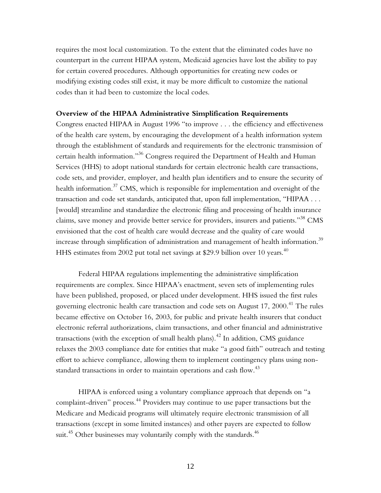requires the most local customization. To the extent that the eliminated codes have no counterpart in the current HIPAA system, Medicaid agencies have lost the ability to pay for certain covered procedures. Although opportunities for creating new codes or modifying existing codes still exist, it may be more difficult to customize the national codes than it had been to customize the local codes.

#### **Overview of the HIPAA Administrative Simplification Requirements**

Congress enacted HIPAA in August 1996 "to improve . . . the efficiency and effectiveness of the health care system, by encouraging the development of a health information system through the establishment of standards and requirements for the electronic transmission of certain health information."36 Congress required the Department of Health and Human Services (HHS) to adopt national standards for certain electronic health care transactions, code sets, and provider, employer, and health plan identifiers and to ensure the security of health information.<sup>37</sup> CMS, which is responsible for implementation and oversight of the transaction and code set standards, anticipated that, upon full implementation, "HIPAA . . . [would] streamline and standardize the electronic filing and processing of health insurance claims, save money and provide better service for providers, insurers and patients."<sup>38</sup> CMS envisioned that the cost of health care would decrease and the quality of care would increase through simplification of administration and management of health information.<sup>39</sup> HHS estimates from 2002 put total net savings at \$29.9 billion over 10 years.<sup>40</sup>

Federal HIPAA regulations implementing the administrative simplification requirements are complex. Since HIPAA's enactment, seven sets of implementing rules have been published, proposed, or placed under development. HHS issued the first rules governing electronic health care transaction and code sets on August 17, 2000.<sup>41</sup> The rules became effective on October 16, 2003, for public and private health insurers that conduct electronic referral authorizations, claim transactions, and other financial and administrative transactions (with the exception of small health plans).<sup>42</sup> In addition, CMS guidance relaxes the 2003 compliance date for entities that make "a good faith" outreach and testing effort to achieve compliance, allowing them to implement contingency plans using nonstandard transactions in order to maintain operations and cash flow.<sup>43</sup>

HIPAA is enforced using a voluntary compliance approach that depends on "a complaint-driven" process.<sup>44</sup> Providers may continue to use paper transactions but the Medicare and Medicaid programs will ultimately require electronic transmission of all transactions (except in some limited instances) and other payers are expected to follow suit.<sup>45</sup> Other businesses may voluntarily comply with the standards.<sup>46</sup>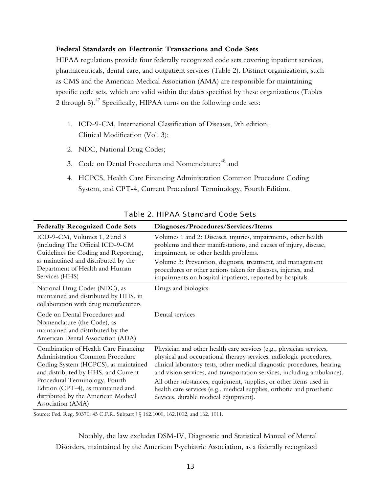#### **Federal Standards on Electronic Transactions and Code Sets**

HIPAA regulations provide four federally recognized code sets covering inpatient services, pharmaceuticals, dental care, and outpatient services (Table 2). Distinct organizations, such as CMS and the American Medical Association (AMA) are responsible for maintaining specific code sets, which are valid within the dates specified by these organizations (Tables 2 through 5).<sup>47</sup> Specifically, HIPAA turns on the following code sets:

- 1. ICD-9-CM, International Classification of Diseases, 9th edition, Clinical Modification (Vol. 3);
- 2. NDC, National Drug Codes;
- 3. Code on Dental Procedures and Nomenclature;<sup>48</sup> and
- 4. HCPCS, Health Care Financing Administration Common Procedure Coding System, and CPT-4, Current Procedural Terminology, Fourth Edition.

| <b>Federally Recognized Code Sets</b>                                                                                                                                                                                                                                                      | Diagnoses/Procedures/Services/Items                                                                                                                                                                                                                                                                                                                                                                                                                                                   |
|--------------------------------------------------------------------------------------------------------------------------------------------------------------------------------------------------------------------------------------------------------------------------------------------|---------------------------------------------------------------------------------------------------------------------------------------------------------------------------------------------------------------------------------------------------------------------------------------------------------------------------------------------------------------------------------------------------------------------------------------------------------------------------------------|
| ICD-9-CM, Volumes 1, 2 and 3<br>(including The Official ICD-9-CM<br>Guidelines for Coding and Reporting),<br>as maintained and distributed by the<br>Department of Health and Human<br>Services (HHS)                                                                                      | Volumes 1 and 2: Diseases, injuries, impairments, other health<br>problems and their manifestations, and causes of injury, disease,<br>impairment, or other health problems.<br>Volume 3: Prevention, diagnosis, treatment, and management<br>procedures or other actions taken for diseases, injuries, and<br>impairments on hospital inpatients, reported by hospitals.                                                                                                             |
| National Drug Codes (NDC), as<br>maintained and distributed by HHS, in<br>collaboration with drug manufacturers                                                                                                                                                                            | Drugs and biologics                                                                                                                                                                                                                                                                                                                                                                                                                                                                   |
| Code on Dental Procedures and<br>Nomenclature (the Code), as<br>maintained and distributed by the<br>American Dental Association (ADA)                                                                                                                                                     | Dental services                                                                                                                                                                                                                                                                                                                                                                                                                                                                       |
| Combination of Health Care Financing<br>Administration Common Procedure<br>Coding System (HCPCS), as maintained<br>and distributed by HHS, and Current<br>Procedural Terminology, Fourth<br>Edition (CPT-4), as maintained and<br>distributed by the American Medical<br>Association (AMA) | Physician and other health care services (e.g., physician services,<br>physical and occupational therapy services, radiologic procedures,<br>clinical laboratory tests, other medical diagnostic procedures, hearing<br>and vision services, and transportation services, including ambulance).<br>All other substances, equipment, supplies, or other items used in<br>health care services (e.g., medical supplies, orthotic and prosthetic<br>devices, durable medical equipment). |

Table 2. HIPAA Standard Code Sets

Source: Fed. Reg. 50370; 45 C.F.R. Subpart J § 162.1000, 162.1002, and 162. 1011.

Notably, the law excludes DSM-IV, Diagnostic and Statistical Manual of Mental Disorders, maintained by the American Psychiatric Association, as a federally recognized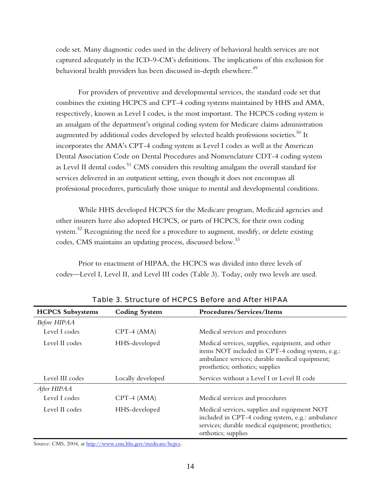code set. Many diagnostic codes used in the delivery of behavioral health services are not captured adequately in the ICD-9-CM's definitions. The implications of this exclusion for behavioral health providers has been discussed in-depth elsewhere.<sup>49</sup>

For providers of preventive and developmental services, the standard code set that combines the existing HCPCS and CPT-4 coding systems maintained by HHS and AMA, respectively, known as Level I codes, is the most important. The HCPCS coding system is an amalgam of the department's original coding system for Medicare claims administration augmented by additional codes developed by selected health professions societies. $^{50}$  It incorporates the AMA's CPT-4 coding system as Level I codes as well as the American Dental Association Code on Dental Procedures and Nomenclature CDT-4 coding system as Level II dental codes.<sup>51</sup> CMS considers this resulting amalgam the overall standard for services delivered in an outpatient setting, even though it does not encompass all professional procedures, particularly those unique to mental and developmental conditions.

While HHS developed HCPCS for the Medicare program, Medicaid agencies and other insurers have also adopted HCPCS, or parts of HCPCS, for their own coding system. $52$  Recognizing the need for a procedure to augment, modify, or delete existing codes, CMS maintains an updating process, discussed below.<sup>53</sup>

Prior to enactment of HIPAA, the HCPCS was divided into three levels of codes—Level I, Level II, and Level III codes (Table 3). Today, only two levels are used.

| <b>HCPCS Subsystems</b> | <b>Coding System</b> | Procedures/Services/Items                                                                                                                                                                  |
|-------------------------|----------------------|--------------------------------------------------------------------------------------------------------------------------------------------------------------------------------------------|
| Before HIPAA            |                      |                                                                                                                                                                                            |
| Level I codes           | $CPT-4$ (AMA)        | Medical services and procedures                                                                                                                                                            |
| Level II codes          | HHS-developed        | Medical services, supplies, equipment, and other<br>items NOT included in CPT-4 coding system, e.g.:<br>ambulance services; durable medical equipment;<br>prosthetics; orthotics; supplies |
| Level III codes         | Locally developed    | Services without a Level I or Level II code                                                                                                                                                |
| After HIPAA             |                      |                                                                                                                                                                                            |
| Level I codes           | $CPT-4$ (AMA)        | Medical services and procedures                                                                                                                                                            |
| Level II codes          | HHS-developed        | Medical services, supplies and equipment NOT<br>included in CPT-4 coding system, e.g.: ambulance<br>services; durable medical equipment; prosthetics;<br>orthotics; supplies               |

Table 3. Structure of HCPCS Before and After HIPAA

Source: CMS, 2004, at [http://www.cms.hhs.gov/medicare/hcpcs.](http://www.cms.hhs.gov/medicare/hcpcs)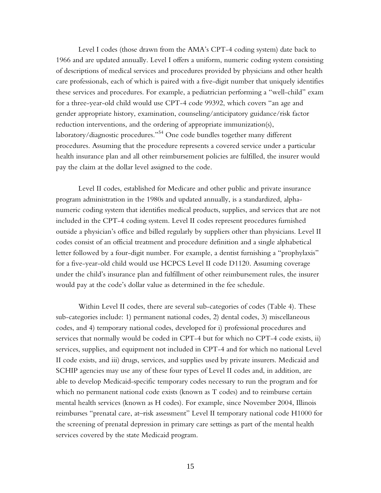<span id="page-22-0"></span>Level I codes (those drawn from the AMA's CPT-4 coding system) date back to 1966 and are updated annually. Level I offers a uniform, numeric coding system consisting of descriptions of medical services and procedures provided by physicians and other health care professionals, each of which is paired with a five-digit number that uniquely identifies these services and procedures. For example, a pediatrician performing a "well-child" exam for a three-year-old child would use CPT-4 code 99392, which covers "an age and gender appropriate history, examination, counseling/anticipatory guidance/risk factor reduction interventions, and the ordering of appropriate immunization(s), laboratory/diagnostic procedures."<sup>54</sup> One code bundles together many different procedures. Assuming that the procedure represents a covered service under a particular health insurance plan and all other reimbursement policies are fulfilled, the insurer would pay the claim at the dollar level assigned to the code.

Level II codes, established for Medicare and other public and private insurance program administration in the 1980s and updated annually, is a standardized, alphanumeric coding system that identifies medical products, supplies, and services that are not included in the CPT-4 coding system. Level II codes represent procedures furnished outside a physician's office and billed regularly by suppliers other than physicians. Level II codes consist of an official treatment and procedure definition and a single alphabetical letter followed by a four-digit number. For example, a dentist furnishing a "prophylaxis" for a five-year-old child would use HCPCS Level II code D1120. Assuming coverage under the child's insurance plan and fulfillment of other reimbursement rules, the insurer would pay at the code's dollar value as determined in the fee schedule.

Within Level II codes, there are several sub-categories of codes (Table 4). These sub-categories include: 1) permanent national codes, 2) dental codes, 3) miscellaneous codes, and 4) temporary national codes, developed for i) professional procedures and services that normally would be coded in CPT-4 but for which no CPT-4 code exists, ii) services, supplies, and equipment not included in CPT-4 and for which no national Level II code exists, and iii) drugs, services, and supplies used by private insurers. Medicaid and SCHIP agencies may use any of these four types of Level II codes and, in addition, are able to develop Medicaid-specific temporary codes necessary to run the program and for which no permanent national code exists (known as T codes) and to reimburse certain mental health services (known as H codes). For example, since November 2004, Illinois reimburses "prenatal care, at–risk assessment" Level II temporary national code H1000 for the screening of prenatal depression in primary care settings as part of the mental health services covered by the state Medicaid program.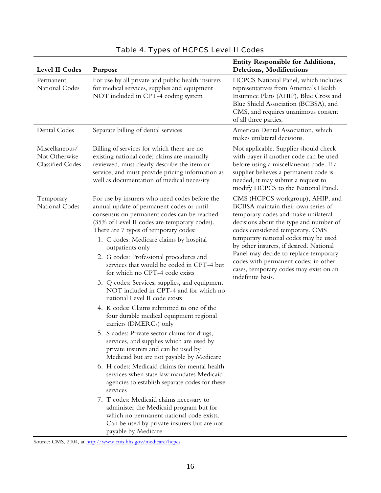| Level II Codes                                      | Purpose                                                                                                                                                                                                                                                                                                                                                                                                                                                                                                                                                                                                                                                                                                                                                                                                                                                                                                                                                                                                                                                                                                                                                                                                                        | <b>Entity Responsible for Additions,</b><br>Deletions, Modifications                                                                                                                                                                                                                                                                                                                                                          |
|-----------------------------------------------------|--------------------------------------------------------------------------------------------------------------------------------------------------------------------------------------------------------------------------------------------------------------------------------------------------------------------------------------------------------------------------------------------------------------------------------------------------------------------------------------------------------------------------------------------------------------------------------------------------------------------------------------------------------------------------------------------------------------------------------------------------------------------------------------------------------------------------------------------------------------------------------------------------------------------------------------------------------------------------------------------------------------------------------------------------------------------------------------------------------------------------------------------------------------------------------------------------------------------------------|-------------------------------------------------------------------------------------------------------------------------------------------------------------------------------------------------------------------------------------------------------------------------------------------------------------------------------------------------------------------------------------------------------------------------------|
| Permanent<br>National Codes                         | For use by all private and public health insurers<br>for medical services, supplies and equipment<br>NOT included in CPT-4 coding system                                                                                                                                                                                                                                                                                                                                                                                                                                                                                                                                                                                                                                                                                                                                                                                                                                                                                                                                                                                                                                                                                       | HCPCS National Panel, which includes<br>representatives from America's Health<br>Insurance Plans (AHIP), Blue Cross and<br>Blue Shield Association (BCBSA), and<br>CMS, and requires unanimous consent<br>of all three parties.                                                                                                                                                                                               |
| Dental Codes                                        | Separate billing of dental services                                                                                                                                                                                                                                                                                                                                                                                                                                                                                                                                                                                                                                                                                                                                                                                                                                                                                                                                                                                                                                                                                                                                                                                            | American Dental Association, which<br>makes unilateral decisions.                                                                                                                                                                                                                                                                                                                                                             |
| Miscellaneous/<br>Not Otherwise<br>Classified Codes | Billing of services for which there are no<br>existing national code; claims are manually<br>reviewed, must clearly describe the item or<br>service, and must provide pricing information as<br>well as documentation of medical necessity                                                                                                                                                                                                                                                                                                                                                                                                                                                                                                                                                                                                                                                                                                                                                                                                                                                                                                                                                                                     | Not applicable. Supplier should check<br>with payer if another code can be used<br>before using a miscellaneous code. If a<br>supplier believes a permanent code is<br>needed, it may submit a request to<br>modify HCPCS to the National Panel.                                                                                                                                                                              |
| Temporary<br><b>National Codes</b>                  | For use by insurers who need codes before the<br>annual update of permanent codes or until<br>consensus on permanent codes can be reached<br>(35% of Level II codes are temporary codes).<br>There are 7 types of temporary codes:<br>1. C codes: Medicare claims by hospital<br>outpatients only<br>2. G codes: Professional procedures and<br>services that would be coded in CPT-4 but<br>for which no CPT-4 code exists<br>3. Q codes: Services, supplies, and equipment<br>NOT included in CPT-4 and for which no<br>national Level II code exists<br>4. K codes: Claims submitted to one of the<br>four durable medical equipment regional<br>carriers (DMERCs) only<br>5. S codes: Private sector claims for drugs,<br>services, and supplies which are used by<br>private insurers and can be used by<br>Medicaid but are not payable by Medicare<br>6. H codes: Medicaid claims for mental health<br>services when state law mandates Medicaid<br>agencies to establish separate codes for these<br>services<br>7. T codes: Medicaid claims necessary to<br>administer the Medicaid program but for<br>which no permanent national code exists.<br>Can be used by private insurers but are not<br>payable by Medicare | CMS (HCPCS workgroup), AHIP, and<br>BCBSA maintain their own series of<br>temporary codes and make unilateral<br>decisions about the type and number of<br>codes considered temporary. CMS<br>temporary national codes may be used<br>by other insurers, if desired. National<br>Panel may decide to replace temporary<br>codes with permanent codes; in other<br>cases, temporary codes may exist on an<br>indefinite basis. |

# Table 4. Types of HCPCS Level II Codes

Source: CMS, 2004, at [http://www.cms.hhs.gov/medicare/hcpcs.](http://www.cms.hhs.gov/medicare/hcpcs)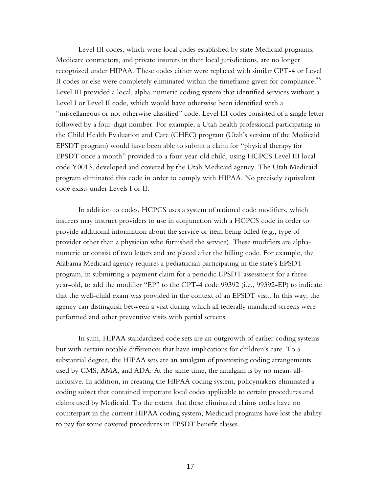Level III codes, which were local codes established by state Medicaid programs, Medicare contractors, and private insurers in their local jurisdictions, are no longer recognized under HIPAA. These codes either were replaced with similar CPT-4 or Level II codes or else were completely eliminated within the timeframe given for compliance.<sup>55</sup> Level III provided a local, alpha-numeric coding system that identified services without a Level I or Level II code, which would have otherwise been identified with a "miscellaneous or not otherwise classified" code. Level III codes consisted of a single letter followed by a four-digit number. For example, a Utah health professional participating in the Child Health Evaluation and Care (CHEC) program (Utah's version of the Medicaid EPSDT program) would have been able to submit a claim for "physical therapy for EPSDT once a month" provided to a four-year-old child, using HCPCS Level III local code Y0013, developed and covered by the Utah Medicaid agency. The Utah Medicaid program eliminated this code in order to comply with HIPAA. No precisely equivalent code exists under Levels I or II.

In addition to codes, HCPCS uses a system of national code modifiers, which insurers may instruct providers to use in conjunction with a HCPCS code in order to provide additional information about the service or item being billed (e.g., type of provider other than a physician who furnished the service). These modifiers are alphanumeric or consist of two letters and are placed after the billing code. For example, the Alabama Medicaid agency requires a pediatrician participating in the state's EPSDT program, in submitting a payment claim for a periodic EPSDT assessment for a threeyear-old, to add the modifier "EP" to the CPT-4 code 99392 (i.e., 99392-EP) to indicate that the well-child exam was provided in the context of an EPSDT visit. In this way, the agency can distinguish between a visit during which all federally mandated screens were performed and other preventive visits with partial screens.

In sum, HIPAA standardized code sets are an outgrowth of earlier coding systems but with certain notable differences that have implications for children's care. To a substantial degree, the HIPAA sets are an amalgam of preexisting coding arrangements used by CMS, AMA, and ADA. At the same time, the amalgam is by no means allinclusive. In addition, in creating the HIPAA coding system, policymakers eliminated a coding subset that contained important local codes applicable to certain procedures and claims used by Medicaid. To the extent that these eliminated claims codes have no counterpart in the current HIPAA coding system, Medicaid programs have lost the ability to pay for some covered procedures in EPSDT benefit classes.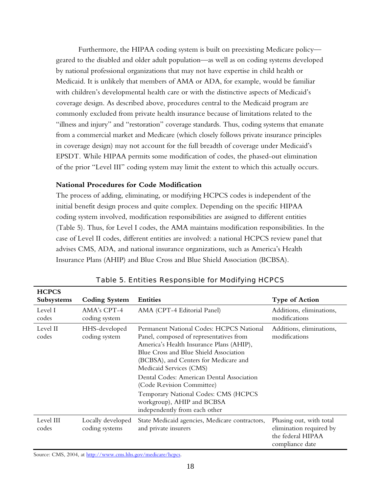Furthermore, the HIPAA coding system is built on preexisting Medicare policy geared to the disabled and older adult population—as well as on coding systems developed by national professional organizations that may not have expertise in child health or Medicaid. It is unlikely that members of AMA or ADA, for example, would be familiar with children's developmental health care or with the distinctive aspects of Medicaid's coverage design. As described above, procedures central to the Medicaid program are commonly excluded from private health insurance because of limitations related to the "illness and injury" and "restoration" coverage standards. Thus, coding systems that emanate from a commercial market and Medicare (which closely follows private insurance principles in coverage design) may not account for the full breadth of coverage under Medicaid's EPSDT. While HIPAA permits some modification of codes, the phased-out elimination of the prior "Level III" coding system may limit the extent to which this actually occurs.

## **National Procedures for Code Modification**

The process of adding, eliminating, or modifying HCPCS codes is independent of the initial benefit design process and quite complex. Depending on the specific HIPAA coding system involved, modification responsibilities are assigned to different entities (Table 5). Thus, for Level I codes, the AMA maintains modification responsibilities. In the case of Level II codes, different entities are involved: a national HCPCS review panel that advises CMS, ADA, and national insurance organizations, such as America's Health Insurance Plans (AHIP) and Blue Cross and Blue Shield Association (BCBSA).

| <b>HCPCS</b>       |                                     |                                                                                                                                                                                                                                                                                                                                                                                                                                |                                                                                            |
|--------------------|-------------------------------------|--------------------------------------------------------------------------------------------------------------------------------------------------------------------------------------------------------------------------------------------------------------------------------------------------------------------------------------------------------------------------------------------------------------------------------|--------------------------------------------------------------------------------------------|
| Subsystems         | <b>Coding System</b>                | <b>Entities</b>                                                                                                                                                                                                                                                                                                                                                                                                                | <b>Type of Action</b>                                                                      |
| Level I<br>codes   | $AMA's CPT-4$<br>coding system      | AMA (CPT-4 Editorial Panel)                                                                                                                                                                                                                                                                                                                                                                                                    | Additions, eliminations,<br>modifications                                                  |
| Level II<br>codes  | HHS-developed<br>coding system      | Permanent National Codes: HCPCS National<br>Panel, composed of representatives from<br>America's Health Insurance Plans (AHIP),<br>Blue Cross and Blue Shield Association<br>(BCBSA), and Centers for Medicare and<br>Medicaid Services (CMS)<br>Dental Codes: American Dental Association<br>(Code Revision Committee)<br>Temporary National Codes: CMS (HCPCS<br>workgroup), AHIP and BCBSA<br>independently from each other | Additions, eliminations,<br>modifications                                                  |
| Level III<br>codes | Locally developed<br>coding systems | State Medicaid agencies, Medicare contractors,<br>and private insurers                                                                                                                                                                                                                                                                                                                                                         | Phasing out, with total<br>elimination required by<br>the federal HIPAA<br>compliance date |

Table 5. Entities Responsible for Modifying HCPCS

Source: CMS, 2004, at [http://www.cms.hhs.gov/medicare/hcpcs.](http://www.cms.hhs.gov/medicare/hcpcs)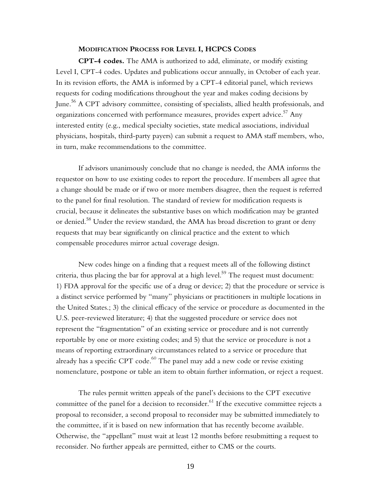#### **MODIFICATION PROCESS FOR LEVEL I, HCPCS CODES**

**CPT-4 codes.** The AMA is authorized to add, eliminate, or modify existing Level I, CPT-4 codes. Updates and publications occur annually, in October of each year. In its revision efforts, the AMA is informed by a CPT-4 editorial panel, which reviews requests for coding modifications throughout the year and makes coding decisions by June.56 A CPT advisory committee, consisting of specialists, allied health professionals, and organizations concerned with performance measures, provides expert advice.<sup>57</sup> Any interested entity (e.g., medical specialty societies, state medical associations, individual physicians, hospitals, third-party payers) can submit a request to AMA staff members, who, in turn, make recommendations to the committee.

If advisors unanimously conclude that no change is needed, the AMA informs the requestor on how to use existing codes to report the procedure. If members all agree that a change should be made or if two or more members disagree, then the request is referred to the panel for final resolution. The standard of review for modification requests is crucial, because it delineates the substantive bases on which modification may be granted or denied.<sup>58</sup> Under the review standard, the AMA has broad discretion to grant or deny requests that may bear significantly on clinical practice and the extent to which compensable procedures mirror actual coverage design.

New codes hinge on a finding that a request meets all of the following distinct criteria, thus placing the bar for approval at a high level.<sup>59</sup> The request must document: 1) FDA approval for the specific use of a drug or device; 2) that the procedure or service is a distinct service performed by "many" physicians or practitioners in multiple locations in the United States.; 3) the clinical efficacy of the service or procedure as documented in the U.S. peer-reviewed literature; 4) that the suggested procedure or service does not represent the "fragmentation" of an existing service or procedure and is not currently reportable by one or more existing codes; and 5) that the service or procedure is not a means of reporting extraordinary circumstances related to a service or procedure that already has a specific CPT code. $^{60}$  The panel may add a new code or revise existing nomenclature, postpone or table an item to obtain further information, or reject a request.

The rules permit written appeals of the panel's decisions to the CPT executive committee of the panel for a decision to reconsider.<sup>61</sup> If the executive committee rejects a proposal to reconsider, a second proposal to reconsider may be submitted immediately to the committee, if it is based on new information that has recently become available. Otherwise, the "appellant" must wait at least 12 months before resubmitting a request to reconsider. No further appeals are permitted, either to CMS or the courts.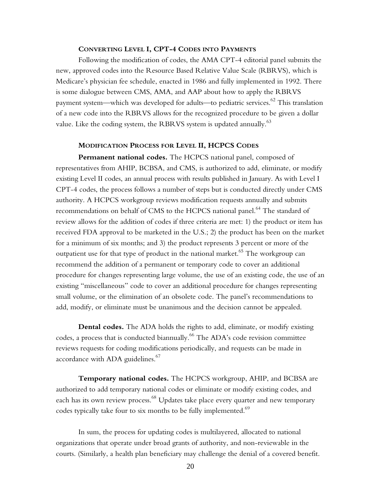#### **CONVERTING LEVEL I, CPT-4 CODES INTO PAYMENTS**

Following the modification of codes, the AMA CPT-4 editorial panel submits the new, approved codes into the Resource Based Relative Value Scale (RBRVS), which is Medicare's physician fee schedule, enacted in 1986 and fully implemented in 1992. There is some dialogue between CMS, AMA, and AAP about how to apply the RBRVS payment system—which was developed for adults—to pediatric services.<sup>62</sup> This translation of a new code into the RBRVS allows for the recognized procedure to be given a dollar value. Like the coding system, the RBRVS system is updated annually.  $^{63}$ 

#### **MODIFICATION PROCESS FOR LEVEL II, HCPCS CODES**

**Permanent national codes.** The HCPCS national panel, composed of representatives from AHIP, BCBSA, and CMS, is authorized to add, eliminate, or modify existing Level II codes, an annual process with results published in January. As with Level I CPT-4 codes, the process follows a number of steps but is conducted directly under CMS authority. A HCPCS workgroup reviews modification requests annually and submits recommendations on behalf of CMS to the HCPCS national panel.<sup>64</sup> The standard of review allows for the addition of codes if three criteria are met: 1) the product or item has received FDA approval to be marketed in the U.S.; 2) the product has been on the market for a minimum of six months; and 3) the product represents 3 percent or more of the outpatient use for that type of product in the national market.<sup>65</sup> The workgroup can recommend the addition of a permanent or temporary code to cover an additional procedure for changes representing large volume, the use of an existing code, the use of an existing "miscellaneous" code to cover an additional procedure for changes representing small volume, or the elimination of an obsolete code. The panel's recommendations to add, modify, or eliminate must be unanimous and the decision cannot be appealed.

**Dental codes.** The ADA holds the rights to add, eliminate, or modify existing codes, a process that is conducted biannually.<sup>66</sup> The ADA's code revision committee reviews requests for coding modifications periodically, and requests can be made in accordance with ADA guidelines.<sup>67</sup>

**Temporary national codes.** The HCPCS workgroup, AHIP, and BCBSA are authorized to add temporary national codes or eliminate or modify existing codes, and each has its own review process.<sup>68</sup> Updates take place every quarter and new temporary codes typically take four to six months to be fully implemented.<sup>69</sup>

In sum, the process for updating codes is multilayered, allocated to national organizations that operate under broad grants of authority, and non-reviewable in the courts. (Similarly, a health plan beneficiary may challenge the denial of a covered benefit.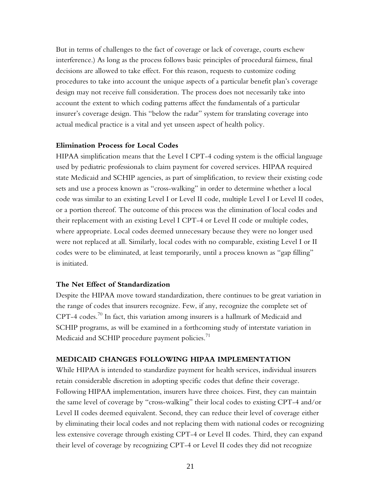But in terms of challenges to the fact of coverage or lack of coverage, courts eschew interference.) As long as the process follows basic principles of procedural fairness, final decisions are allowed to take effect. For this reason, requests to customize coding procedures to take into account the unique aspects of a particular benefit plan's coverage design may not receive full consideration. The process does not necessarily take into account the extent to which coding patterns affect the fundamentals of a particular insurer's coverage design. This "below the radar" system for translating coverage into actual medical practice is a vital and yet unseen aspect of health policy.

#### **Elimination Process for Local Codes**

HIPAA simplification means that the Level I CPT-4 coding system is the official language used by pediatric professionals to claim payment for covered services. HIPAA required state Medicaid and SCHIP agencies, as part of simplification, to review their existing code sets and use a process known as "cross-walking" in order to determine whether a local code was similar to an existing Level I or Level II code, multiple Level I or Level II codes, or a portion thereof. The outcome of this process was the elimination of local codes and their replacement with an existing Level I CPT-4 or Level II code or multiple codes, where appropriate. Local codes deemed unnecessary because they were no longer used were not replaced at all. Similarly, local codes with no comparable, existing Level I or II codes were to be eliminated, at least temporarily, until a process known as "gap filling" is initiated.

#### **The Net Effect of Standardization**

Despite the HIPAA move toward standardization, there continues to be great variation in the range of codes that insurers recognize. Few, if any, recognize the complete set of CPT-4 codes.<sup>70</sup> In fact, this variation among insurers is a hallmark of Medicaid and SCHIP programs, as will be examined in a forthcoming study of interstate variation in Medicaid and SCHIP procedure payment policies. $1/1$ 

#### **MEDICAID CHANGES FOLLOWING HIPAA IMPLEMENTATION**

While HIPAA is intended to standardize payment for health services, individual insurers retain considerable discretion in adopting specific codes that define their coverage. Following HIPAA implementation, insurers have three choices. First, they can maintain the same level of coverage by "cross-walking" their local codes to existing CPT-4 and/or Level II codes deemed equivalent. Second, they can reduce their level of coverage either by eliminating their local codes and not replacing them with national codes or recognizing less extensive coverage through existing CPT-4 or Level II codes. Third, they can expand their level of coverage by recognizing CPT-4 or Level II codes they did not recognize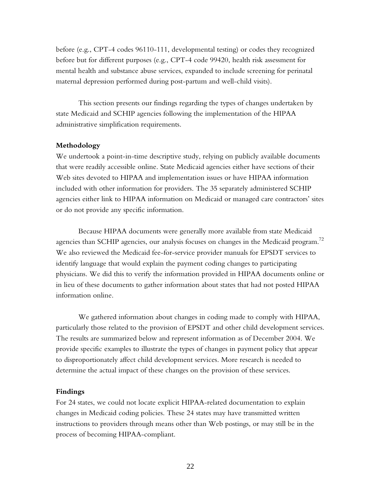before (e.g., CPT-4 codes 96110-111, developmental testing) or codes they recognized before but for different purposes (e.g., CPT-4 code 99420, health risk assessment for mental health and substance abuse services, expanded to include screening for perinatal maternal depression performed during post-partum and well-child visits).

This section presents our findings regarding the types of changes undertaken by state Medicaid and SCHIP agencies following the implementation of the HIPAA administrative simplification requirements.

#### **Methodology**

We undertook a point-in-time descriptive study, relying on publicly available documents that were readily accessible online. State Medicaid agencies either have sections of their Web sites devoted to HIPAA and implementation issues or have HIPAA information included with other information for providers. The 35 separately administered SCHIP agencies either link to HIPAA information on Medicaid or managed care contractors' sites or do not provide any specific information.

Because HIPAA documents were generally more available from state Medicaid agencies than SCHIP agencies, our analysis focuses on changes in the Medicaid program.<sup>72</sup> We also reviewed the Medicaid fee-for-service provider manuals for EPSDT services to identify language that would explain the payment coding changes to participating physicians. We did this to verify the information provided in HIPAA documents online or in lieu of these documents to gather information about states that had not posted HIPAA information online.

We gathered information about changes in coding made to comply with HIPAA, particularly those related to the provision of EPSDT and other child development services. The results are summarized below and represent information as of December 2004. We provide specific examples to illustrate the types of changes in payment policy that appear to disproportionately affect child development services. More research is needed to determine the actual impact of these changes on the provision of these services.

#### **Findings**

For 24 states, we could not locate explicit HIPAA-related documentation to explain changes in Medicaid coding policies. These 24 states may have transmitted written instructions to providers through means other than Web postings, or may still be in the process of becoming HIPAA-compliant.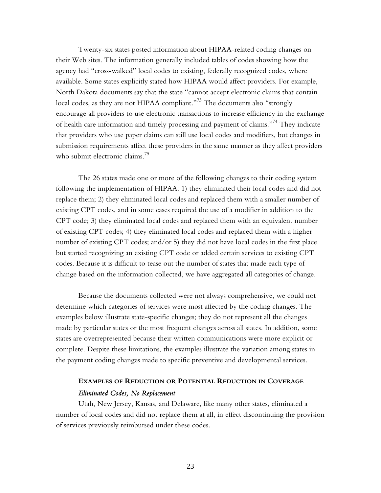Twenty-six states posted information about HIPAA-related coding changes on their Web sites. The information generally included tables of codes showing how the agency had "cross-walked" local codes to existing, federally recognized codes, where available. Some states explicitly stated how HIPAA would affect providers. For example, North Dakota documents say that the state "cannot accept electronic claims that contain local codes, as they are not HIPAA compliant."<sup>73</sup> The documents also "strongly encourage all providers to use electronic transactions to increase efficiency in the exchange of health care information and timely processing and payment of claims."74 They indicate that providers who use paper claims can still use local codes and modifiers, but changes in submission requirements affect these providers in the same manner as they affect providers who submit electronic claims.<sup>75</sup>

The 26 states made one or more of the following changes to their coding system following the implementation of HIPAA: 1) they eliminated their local codes and did not replace them; 2) they eliminated local codes and replaced them with a smaller number of existing CPT codes, and in some cases required the use of a modifier in addition to the CPT code; 3) they eliminated local codes and replaced them with an equivalent number of existing CPT codes; 4) they eliminated local codes and replaced them with a higher number of existing CPT codes; and/or 5) they did not have local codes in the first place but started recognizing an existing CPT code or added certain services to existing CPT codes. Because it is difficult to tease out the number of states that made each type of change based on the information collected, we have aggregated all categories of change.

Because the documents collected were not always comprehensive, we could not determine which categories of services were most affected by the coding changes. The examples below illustrate state-specific changes; they do not represent all the changes made by particular states or the most frequent changes across all states. In addition, some states are overrepresented because their written communications were more explicit or complete. Despite these limitations, the examples illustrate the variation among states in the payment coding changes made to specific preventive and developmental services.

## **EXAMPLES OF REDUCTION OR POTENTIAL REDUCTION IN COVERAGE** *Eliminated Codes, No Replacement*

Utah, New Jersey, Kansas, and Delaware, like many other states, eliminated a number of local codes and did not replace them at all, in effect discontinuing the provision of services previously reimbursed under these codes.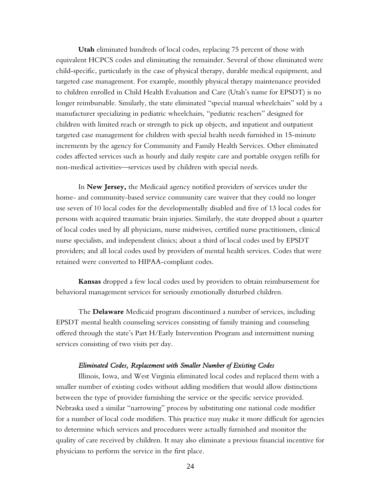**Utah** eliminated hundreds of local codes, replacing 75 percent of those with equivalent HCPCS codes and eliminating the remainder. Several of those eliminated were child-specific, particularly in the case of physical therapy, durable medical equipment, and targeted case management. For example, monthly physical therapy maintenance provided to children enrolled in Child Health Evaluation and Care (Utah's name for EPSDT) is no longer reimbursable. Similarly, the state eliminated "special manual wheelchairs" sold by a manufacturer specializing in pediatric wheelchairs, "pediatric reachers" designed for children with limited reach or strength to pick up objects, and inpatient and outpatient targeted case management for children with special health needs furnished in 15-minute increments by the agency for Community and Family Health Services. Other eliminated codes affected services such as hourly and daily respite care and portable oxygen refills for non-medical activities—services used by children with special needs.

In **New Jersey,** the Medicaid agency notified providers of services under the home- and community-based service community care waiver that they could no longer use seven of 10 local codes for the developmentally disabled and five of 13 local codes for persons with acquired traumatic brain injuries. Similarly, the state dropped about a quarter of local codes used by all physicians, nurse midwives, certified nurse practitioners, clinical nurse specialists, and independent clinics; about a third of local codes used by EPSDT providers; and all local codes used by providers of mental health services. Codes that were retained were converted to HIPAA-compliant codes.

**Kansas** dropped a few local codes used by providers to obtain reimbursement for behavioral management services for seriously emotionally disturbed children.

The **Delaware** Medicaid program discontinued a number of services, including EPSDT mental health counseling services consisting of family training and counseling offered through the state's Part H/Early Intervention Program and intermittent nursing services consisting of two visits per day.

#### *Eliminated Codes, Replacement with Smaller Number of Existing Codes*

Illinois, Iowa, and West Virginia eliminated local codes and replaced them with a smaller number of existing codes without adding modifiers that would allow distinctions between the type of provider furnishing the service or the specific service provided. Nebraska used a similar "narrowing" process by substituting one national code modifier for a number of local code modifiers. This practice may make it more difficult for agencies to determine which services and procedures were actually furnished and monitor the quality of care received by children. It may also eliminate a previous financial incentive for physicians to perform the service in the first place.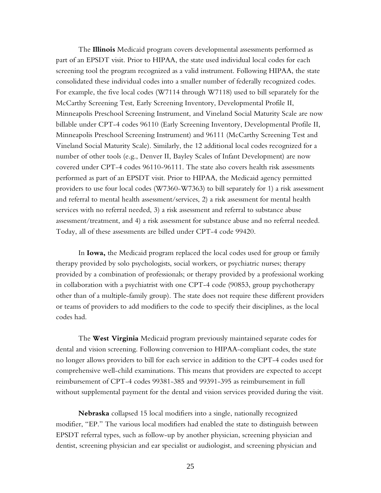The **Illinois** Medicaid program covers developmental assessments performed as part of an EPSDT visit. Prior to HIPAA, the state used individual local codes for each screening tool the program recognized as a valid instrument. Following HIPAA, the state consolidated these individual codes into a smaller number of federally recognized codes. For example, the five local codes (W7114 through W7118) used to bill separately for the McCarthy Screening Test, Early Screening Inventory, Developmental Profile II, Minneapolis Preschool Screening Instrument, and Vineland Social Maturity Scale are now billable under CPT-4 codes 96110 (Early Screening Inventory, Developmental Profile II, Minneapolis Preschool Screening Instrument) and 96111 (McCarthy Screening Test and Vineland Social Maturity Scale). Similarly, the 12 additional local codes recognized for a number of other tools (e.g., Denver II, Bayley Scales of Infant Development) are now covered under CPT-4 codes 96110-96111. The state also covers health risk assessments performed as part of an EPSDT visit. Prior to HIPAA, the Medicaid agency permitted providers to use four local codes (W7360-W7363) to bill separately for 1) a risk assessment and referral to mental health assessment/services, 2) a risk assessment for mental health services with no referral needed, 3) a risk assessment and referral to substance abuse assessment/treatment, and 4) a risk assessment for substance abuse and no referral needed. Today, all of these assessments are billed under CPT-4 code 99420.

In **Iowa,** the Medicaid program replaced the local codes used for group or family therapy provided by solo psychologists, social workers, or psychiatric nurses; therapy provided by a combination of professionals; or therapy provided by a professional working in collaboration with a psychiatrist with one CPT-4 code (90853, group psychotherapy other than of a multiple-family group). The state does not require these different providers or teams of providers to add modifiers to the code to specify their disciplines, as the local codes had.

The **West Virginia** Medicaid program previously maintained separate codes for dental and vision screening. Following conversion to HIPAA-compliant codes, the state no longer allows providers to bill for each service in addition to the CPT-4 codes used for comprehensive well-child examinations. This means that providers are expected to accept reimbursement of CPT-4 codes 99381-385 and 99391-395 as reimbursement in full without supplemental payment for the dental and vision services provided during the visit.

**Nebraska** collapsed 15 local modifiers into a single, nationally recognized modifier, "EP." The various local modifiers had enabled the state to distinguish between EPSDT referral types, such as follow-up by another physician, screening physician and dentist, screening physician and ear specialist or audiologist, and screening physician and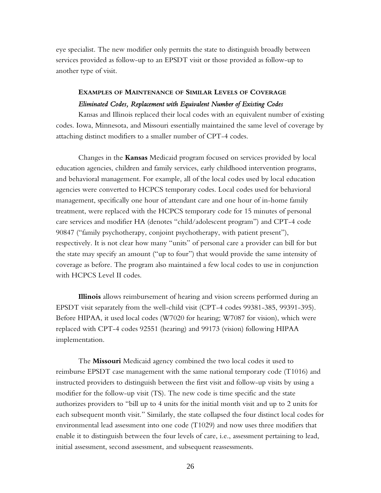eye specialist. The new modifier only permits the state to distinguish broadly between services provided as follow-up to an EPSDT visit or those provided as follow-up to another type of visit.

## **EXAMPLES OF MAINTENANCE OF SIMILAR LEVELS OF COVERAGE** *Eliminated Codes, Replacement with Equivalent Number of Existing Codes*

Kansas and Illinois replaced their local codes with an equivalent number of existing codes. Iowa, Minnesota, and Missouri essentially maintained the same level of coverage by attaching distinct modifiers to a smaller number of CPT-4 codes.

Changes in the **Kansas** Medicaid program focused on services provided by local education agencies, children and family services, early childhood intervention programs, and behavioral management. For example, all of the local codes used by local education agencies were converted to HCPCS temporary codes. Local codes used for behavioral management, specifically one hour of attendant care and one hour of in-home family treatment, were replaced with the HCPCS temporary code for 15 minutes of personal care services and modifier HA (denotes "child/adolescent program") and CPT-4 code 90847 ("family psychotherapy, conjoint psychotherapy, with patient present"), respectively. It is not clear how many "units" of personal care a provider can bill for but the state may specify an amount ("up to four") that would provide the same intensity of coverage as before. The program also maintained a few local codes to use in conjunction with HCPCS Level II codes.

**Illinois** allows reimbursement of hearing and vision screens performed during an EPSDT visit separately from the well-child visit (CPT-4 codes 99381-385, 99391-395). Before HIPAA, it used local codes (W7020 for hearing; W7087 for vision), which were replaced with CPT-4 codes 92551 (hearing) and 99173 (vision) following HIPAA implementation.

The **Missouri** Medicaid agency combined the two local codes it used to reimburse EPSDT case management with the same national temporary code (T1016) and instructed providers to distinguish between the first visit and follow-up visits by using a modifier for the follow-up visit (TS). The new code is time specific and the state authorizes providers to "bill up to 4 units for the initial month visit and up to 2 units for each subsequent month visit." Similarly, the state collapsed the four distinct local codes for environmental lead assessment into one code (T1029) and now uses three modifiers that enable it to distinguish between the four levels of care, i.e., assessment pertaining to lead, initial assessment, second assessment, and subsequent reassessments.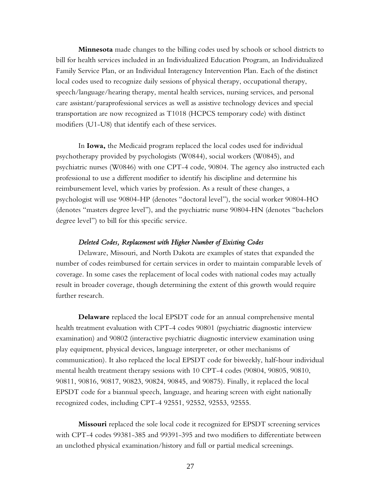**Minnesota** made changes to the billing codes used by schools or school districts to bill for health services included in an Individualized Education Program, an Individualized Family Service Plan, or an Individual Interagency Intervention Plan. Each of the distinct local codes used to recognize daily sessions of physical therapy, occupational therapy, speech/language/hearing therapy, mental health services, nursing services, and personal care assistant/paraprofessional services as well as assistive technology devices and special transportation are now recognized as T1018 (HCPCS temporary code) with distinct modifiers (U1-U8) that identify each of these services.

In **Iowa,** the Medicaid program replaced the local codes used for individual psychotherapy provided by psychologists (W0844), social workers (W0845), and psychiatric nurses (W0846) with one CPT-4 code, 90804. The agency also instructed each professional to use a different modifier to identify his discipline and determine his reimbursement level, which varies by profession. As a result of these changes, a psychologist will use 90804-HP (denotes "doctoral level"), the social worker 90804-HO (denotes "masters degree level"), and the psychiatric nurse 90804-HN (denotes "bachelors degree level") to bill for this specific service.

#### *Deleted Codes, Replacement with Higher Number of Existing Codes*

Delaware, Missouri, and North Dakota are examples of states that expanded the number of codes reimbursed for certain services in order to maintain comparable levels of coverage. In some cases the replacement of local codes with national codes may actually result in broader coverage, though determining the extent of this growth would require further research.

**Delaware** replaced the local EPSDT code for an annual comprehensive mental health treatment evaluation with CPT-4 codes 90801 (psychiatric diagnostic interview examination) and 90802 (interactive psychiatric diagnostic interview examination using play equipment, physical devices, language interpreter, or other mechanisms of communication). It also replaced the local EPSDT code for biweekly, half-hour individual mental health treatment therapy sessions with 10 CPT-4 codes (90804, 90805, 90810, 90811, 90816, 90817, 90823, 90824, 90845, and 90875). Finally, it replaced the local EPSDT code for a biannual speech, language, and hearing screen with eight nationally recognized codes, including CPT-4 92551, 92552, 92553, 92555.

**Missouri** replaced the sole local code it recognized for EPSDT screening services with CPT-4 codes 99381-385 and 99391-395 and two modifiers to differentiate between an unclothed physical examination/history and full or partial medical screenings.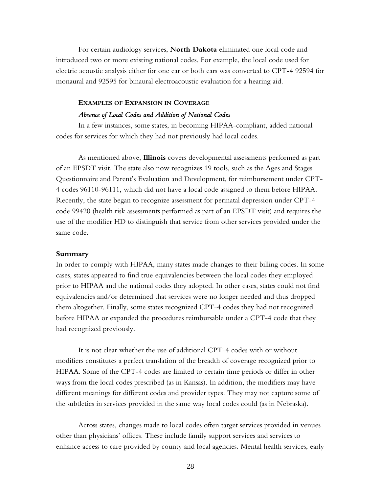For certain audiology services, **North Dakota** eliminated one local code and introduced two or more existing national codes. For example, the local code used for electric acoustic analysis either for one ear or both ears was converted to CPT-4 92594 for monaural and 92595 for binaural electroacoustic evaluation for a hearing aid.

# **EXAMPLES OF EXPANSION IN COVERAGE**

## *Absence of Local Codes and Addition of National Codes*

In a few instances, some states, in becoming HIPAA-compliant, added national codes for services for which they had not previously had local codes.

As mentioned above, **Illinois** covers developmental assessments performed as part of an EPSDT visit. The state also now recognizes 19 tools, such as the Ages and Stages Questionnaire and Parent's Evaluation and Development, for reimbursement under CPT-4 codes 96110-96111, which did not have a local code assigned to them before HIPAA. Recently, the state began to recognize assessment for perinatal depression under CPT-4 code 99420 (health risk assessments performed as part of an EPSDT visit) and requires the use of the modifier HD to distinguish that service from other services provided under the same code.

#### **Summary**

In order to comply with HIPAA, many states made changes to their billing codes. In some cases, states appeared to find true equivalencies between the local codes they employed prior to HIPAA and the national codes they adopted. In other cases, states could not find equivalencies and/or determined that services were no longer needed and thus dropped them altogether. Finally, some states recognized CPT-4 codes they had not recognized before HIPAA or expanded the procedures reimbursable under a CPT-4 code that they had recognized previously.

It is not clear whether the use of additional CPT-4 codes with or without modifiers constitutes a perfect translation of the breadth of coverage recognized prior to HIPAA. Some of the CPT-4 codes are limited to certain time periods or differ in other ways from the local codes prescribed (as in Kansas). In addition, the modifiers may have different meanings for different codes and provider types. They may not capture some of the subtleties in services provided in the same way local codes could (as in Nebraska).

Across states, changes made to local codes often target services provided in venues other than physicians' offices. These include family support services and services to enhance access to care provided by county and local agencies. Mental health services, early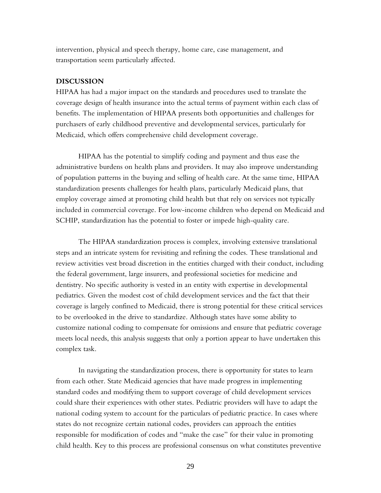intervention, physical and speech therapy, home care, case management, and transportation seem particularly affected.

#### **DISCUSSION**

HIPAA has had a major impact on the standards and procedures used to translate the coverage design of health insurance into the actual terms of payment within each class of benefits. The implementation of HIPAA presents both opportunities and challenges for purchasers of early childhood preventive and developmental services, particularly for Medicaid, which offers comprehensive child development coverage.

HIPAA has the potential to simplify coding and payment and thus ease the administrative burdens on health plans and providers. It may also improve understanding of population patterns in the buying and selling of health care. At the same time, HIPAA standardization presents challenges for health plans, particularly Medicaid plans, that employ coverage aimed at promoting child health but that rely on services not typically included in commercial coverage. For low-income children who depend on Medicaid and SCHIP, standardization has the potential to foster or impede high-quality care.

The HIPAA standardization process is complex, involving extensive translational steps and an intricate system for revisiting and refining the codes. These translational and review activities vest broad discretion in the entities charged with their conduct, including the federal government, large insurers, and professional societies for medicine and dentistry. No specific authority is vested in an entity with expertise in developmental pediatrics. Given the modest cost of child development services and the fact that their coverage is largely confined to Medicaid, there is strong potential for these critical services to be overlooked in the drive to standardize. Although states have some ability to customize national coding to compensate for omissions and ensure that pediatric coverage meets local needs, this analysis suggests that only a portion appear to have undertaken this complex task.

In navigating the standardization process, there is opportunity for states to learn from each other. State Medicaid agencies that have made progress in implementing standard codes and modifying them to support coverage of child development services could share their experiences with other states. Pediatric providers will have to adapt the national coding system to account for the particulars of pediatric practice. In cases where states do not recognize certain national codes, providers can approach the entities responsible for modification of codes and "make the case" for their value in promoting child health. Key to this process are professional consensus on what constitutes preventive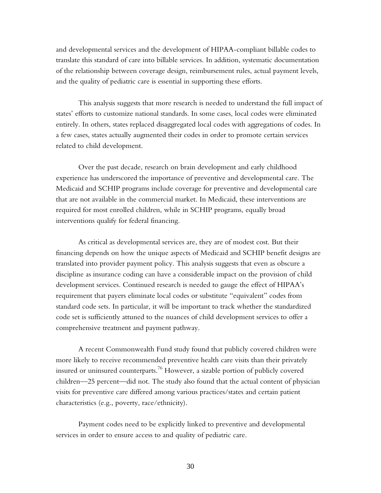and developmental services and the development of HIPAA-compliant billable codes to translate this standard of care into billable services. In addition, systematic documentation of the relationship between coverage design, reimbursement rules, actual payment levels, and the quality of pediatric care is essential in supporting these efforts.

This analysis suggests that more research is needed to understand the full impact of states' efforts to customize national standards. In some cases, local codes were eliminated entirely. In others, states replaced disaggregated local codes with aggregations of codes. In a few cases, states actually augmented their codes in order to promote certain services related to child development.

Over the past decade, research on brain development and early childhood experience has underscored the importance of preventive and developmental care. The Medicaid and SCHIP programs include coverage for preventive and developmental care that are not available in the commercial market. In Medicaid, these interventions are required for most enrolled children, while in SCHIP programs, equally broad interventions qualify for federal financing.

As critical as developmental services are, they are of modest cost. But their financing depends on how the unique aspects of Medicaid and SCHIP benefit designs are translated into provider payment policy. This analysis suggests that even as obscure a discipline as insurance coding can have a considerable impact on the provision of child development services. Continued research is needed to gauge the effect of HIPAA's requirement that payers eliminate local codes or substitute "equivalent" codes from standard code sets. In particular, it will be important to track whether the standardized code set is sufficiently attuned to the nuances of child development services to offer a comprehensive treatment and payment pathway.

A recent Commonwealth Fund study found that publicly covered children were more likely to receive recommended preventive health care visits than their privately insured or uninsured counterparts.<sup>76</sup> However, a sizable portion of publicly covered children—25 percent—did not. The study also found that the actual content of physician visits for preventive care differed among various practices/states and certain patient characteristics (e.g., poverty, race/ethnicity).

Payment codes need to be explicitly linked to preventive and developmental services in order to ensure access to and quality of pediatric care.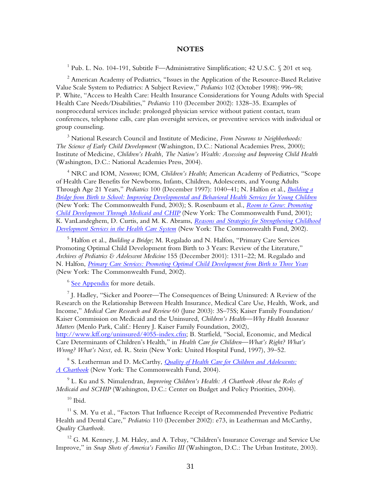#### **NOTES**

1 Pub. L. No. 104-191, Subtitle F—Administrative Simplification; 42 U.S.C. § 201 et seq*.*

 $^2$  American Academy of Pediatrics, "Issues in the Application of the Resource-Based Relative Value Scale System to Pediatrics: A Subject Review," *Pediatrics* 102 (October 1998): 996–98; P. White, "Access to Health Care: Health Insurance Considerations for Young Adults with Special Health Care Needs/Disabilities," *Pediatrics* 110 (December 2002): 1328–35. Examples of nonprocedural services include: prolonged physician service without patient contact, team conferences, telephone calls, care plan oversight services, or preventive services with individual or group counseling.

3 National Research Council and Institute of Medicine, *From Neurons to Neighborhoods: The Science of Early Child Development* (Washington, D.C.: National Academies Press, 2000); Institute of Medicine, *Children's Health, The Nation's Wealth: Assessing and Improving Child Health* (Washington, D.C.: National Academies Press, 2004).

4 NRC and IOM, *Neurons*; IOM, *Children's Health*; American Academy of Pediatrics, "Scope of Health Care Benefits for Newborns, Infants, Children, Adolescents, and Young Adults Through Age 21 Years," *Pediatrics* 100 (December 1997): 1040–41; N. Halfon et al., *[Building a](http://www.cmwf.org/publications/publications_show.htm?doc_id=221307)  [Bridge from Birth to School: Improving Developmental and Behavioral Health Services for Young Children](http://www.cmwf.org/publications/publications_show.htm?doc_id=221307)* (New York: The Commonwealth Fund, 2003); S. Rosenbaum et al., *[Room to Grow: Promoting](http://www.cmwf.org/publications/publications_show.htm?doc_id=221346)  [Child Development Through Medicaid and CHIP](http://www.cmwf.org/publications/publications_show.htm?doc_id=221346)* (New York: The Commonwealth Fund, 2001); K. VanLandeghem, D. Curtis, and M. K. Abrams, *[Reasons and Strategies for Strengthening Childhood](http://www.cmwf.org/publications/publications_show.htm?doc_id=221338)  [Development Services in the Health Care System](http://www.cmwf.org/publications/publications_show.htm?doc_id=221338)* (New York: The Commonwealth Fund, 2002).

5 Halfon et al., *Building a Bridge*; M. Regalado and N. Halfon, "Primary Care Services Promoting Optimal Child Development from Birth to 3 Years: Review of the Literature," *Archives of Pediatrics & Adolescent Medicine* 155 (December 2001): 1311–22; M. Regalado and N. Halfon, *[Primary Care Services: Promoting Optimal Child Development from Birth to Three Years](http://www.cmwf.org/publications/publications_show.htm?doc_id=221268)* (New York: The Commonwealth Fund, 2002).

<sup>6</sup> [See Appendix](#page-44-0) for more details.

 $^7$  J. Hadley, "Sicker and Poorer—The Consequences of Being Uninsured: A Review of the Research on the Relationship Between Health Insurance, Medical Care Use, Health, Work, and Income," *Medical Care Research and Review* 60 (June 2003): 3S–75S; Kaiser Family Foundation/ Kaiser Commission on Medicaid and the Uninsured, *Children's Health—Why Health Insurance Matters* (Menlo Park, Calif.: Henry J. Kaiser Family Foundation, 2002),

[http://www.kff.org/uninsured/4055-index.cfm;](http://www.kff.org/uninsured/4055-index.cfm) B. Starfield, "Social, Economic, and Medical Care Determinants of Children's Health," in *Health Care for Children—What's Right? What's Wrong? What's Next,* ed. R. Stein (New York: United Hospital Fund, 1997), 39–52.

8 S. Leatherman and D. McCarthy, *[Quality of Health Care for Children and Adolescents:](http://www.cmwf.org/publications/publications_show.htm?doc_id=225395) [A Chartbook](http://www.cmwf.org/publications/publications_show.htm?doc_id=225395)* (New York: The Commonwealth Fund, 2004).

9 L. Ku and S. Nimalendran, *Improving Children's Health: A Chartbook About the Roles of Medicaid and SCHIP* (Washington, D.C.: Center on Budget and Policy Priorities, 2004).

 $10$  Ibid.

 $11$  S. M. Yu et al., "Factors That Influence Receipt of Recommended Preventive Pediatric Health and Dental Care," *Pediatrics* 110 (December 2002): e73, in Leatherman and McCarthy, *Quality Chartbook.*

 $12$  G. M. Kenney, J. M. Haley, and A. Tebay, "Children's Insurance Coverage and Service Use Improve," in *Snap Shots of America's Families III* (Washington, D.C.: The Urban Institute, 2003).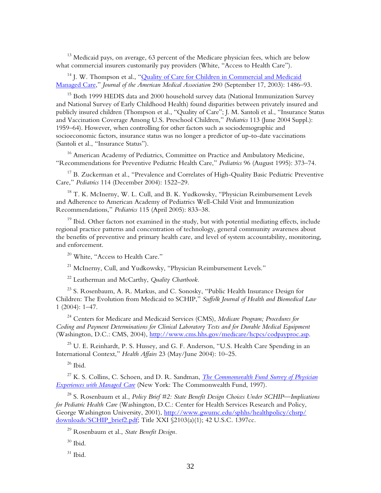<sup>13</sup> Medicaid pays, on average, 63 percent of the Medicare physician fees, which are below what commercial insurers customarily pay providers (White, "Access to Health Care").

<sup>14</sup> J. W. Thompson et al., "Quality of Care for Children in Commercial and Medicaid [Managed Care,](http://www.cmwf.org/publications/publications_show.htm?doc_id=221477)" *Journal of the American Medical Association* 290 (September 17, 2003): 1486–93.

<sup>15</sup> Both 1999 HEDIS data and 2000 household survey data (National Immunization Survey and National Survey of Early Childhood Health) found disparities between privately insured and publicly insured children (Thompson et al., "Quality of Care"; J. M. Santoli et al., "Insurance Status and Vaccination Coverage Among U.S. Preschool Children," *Pediatrics* 113 (June 2004 Suppl.): 1959–64). However, when controlling for other factors such as sociodemographic and socioeconomic factors, insurance status was no longer a predictor of up-to-date vaccinations (Santoli et al., "Insurance Status").

<sup>16</sup> American Academy of Pediatrics, Committee on Practice and Ambulatory Medicine, "Recommendations for Preventive Pediatric Health Care," *Pediatrics* 96 (August 1995): 373–74.

<sup>17</sup> B. Zuckerman et al., "Prevalence and Correlates of High-Quality Basic Pediatric Preventive Care," *Pediatrics* 114 (December 2004): 1522–29.

 $18$  T. K. McInerny, W. L. Cull, and B. K. Yudkowsky, "Physician Reimbursement Levels and Adherence to American Academy of Pediatrics Well-Child Visit and Immunization Recommendations," *Pediatrics* 115 (April 2005): 833–38.

 $19$  Ibid. Other factors not examined in the study, but with potential mediating effects, include regional practice patterns and concentration of technology, general community awareness about the benefits of preventive and primary health care, and level of system accountability, monitoring, and enforcement.

<sup>20</sup> White. "Access to Health Care."

<sup>21</sup> McInerny, Cull, and Yudkowsky, "Physician Reimbursement Levels."

22 Leatherman and McCarthy, *Quality Chartbook.*

 $23$  S. Rosenbaum, A. R. Markus, and C. Sonosky, "Public Health Insurance Design for Children: The Evolution from Medicaid to SCHIP," *Suffolk Journal of Health and Biomedical Law* 1 (2004): 1–47.

24 Centers for Medicare and Medicaid Services (CMS), *Medicare Program; Procedures for Coding and Payment Determinations for Clinical Laboratory Tests and for Durable Medical Equipment* (Washington, D.C.: CMS, 2004), [http://www.cms.hhs.gov/medicare/hcpcs/codpayproc.asp.](http://www.cms.hhs.gov/medicare/hcpcs/codpayproc.asp)

<sup>25</sup> U. E. Reinhardt, P. S. Hussey, and G. F. Anderson, "U.S. Health Care Spending in an International Context," *Health Affairs* 23 (May/June 2004): 10–25.

 $^{26}$  Ibid.

27 K. S. Collins, C. Schoen, and D. R. Sandman, *[The Commonwealth Fund Survey of Physician](http://www.cmwf.org/publications/publications_show.htm?doc_id=221402)  [Experiences with Managed Care](http://www.cmwf.org/publications/publications_show.htm?doc_id=221402)* (New York: The Commonwealth Fund, 1997).

28 S. Rosenbaum et al., *Policy Brief #2: State Benefit Design Choices Under SCHIP—Implications for Pediatric Health Care* (Washington, D.C.: Center for Health Services Research and Policy, George Washington University, 2001), [http://www.gwumc.edu/sphhs/healthpolicy/chsrp/](http://www.gwumc.edu/sphhs/healthpolicy/chsrp/downloads/SCHIP_brief2.pdf) [downloads/SCHIP\\_brief2.pdf;](http://www.gwumc.edu/sphhs/healthpolicy/chsrp/downloads/SCHIP_brief2.pdf) Title XXI §2103(a)(1); 42 U.S.C. 1397cc.

29 Rosenbaum et al., *State Benefit Design.*

 $30$  Ibid.

 $^{31}$  Ibid.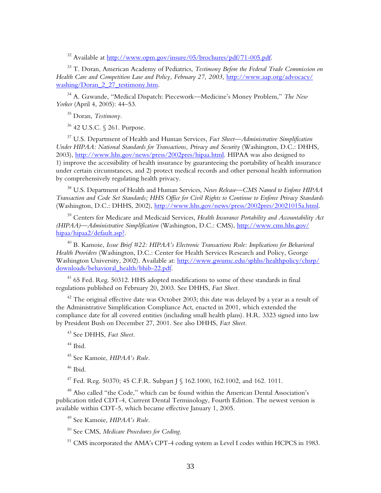32 Available at [http://www.opm.gov/insure/05/brochures/pdf/71-005.pdf.](http://www.opm.gov/insure/05/brochures/pdf/71-005.pdf)

33 T. Doran, American Academy of Pediatrics, *Testimony Before the Federal Trade Commission on Health Care and Competition Law and Policy, February 27, 2003,* [http://www.aap.org/advocacy/](http://www.aap.org/advocacy/washing/Doran_2_27_testimony.htm) [washing/Doran\\_2\\_27\\_testimony.htm](http://www.aap.org/advocacy/washing/Doran_2_27_testimony.htm).

34 A. Gawande, "Medical Dispatch: Piecework—Medicine's Money Problem," *The New Yorker* (April 4, 2005): 44–53.

35 Doran, *Testimony.*

36 42 U.S.C. § 261. Purpose.

37 U.S. Department of Health and Human Services, *Fact Sheet—Administrative Simplification Under HIPAA: National Standards for Transactions, Privacy and Security* (Washington, D.C.: DHHS, 2003), [http://www.hhs.gov/news/press/2002pres/hipaa.html.](http://www.hhs.gov/news/press/2002pres/hipaa.html) HIPAA was also designed to 1) improve the accessibility of health insurance by guaranteeing the portability of health insurance under certain circumstances, and 2) protect medical records and other personal health information by comprehensively regulating health privacy.

38 U.S. Department of Health and Human Services, *News Release—CMS Named to Enforce HIPAA Transaction and Code Set Standards; HHS Office for Civil Rights to Continue to Enforce Privacy Standards* (Washington, D.C.: DHHS, 2002), [http://www.hhs.gov/news/press/2002pres/20021015a.html.](http://www.hhs.gov/news/press/2002pres/20021015a.html) 

39 Centers for Medicare and Medicaid Services, *Health Insurance Portability and Accountability Act (HIPAA)—Administrative Simplification* (Washington, D.C.: CMS), [http://www.cms.hhs.gov/](http://www.cms.hhs.gov/hipaa/hipaa2/default.asp?) [hipaa/hipaa2/default.asp?.](http://www.cms.hhs.gov/hipaa/hipaa2/default.asp?)

40 B. Kamoie, *Issue Brief #22: HIPAA's Electronic Transactions Rule: Implications for Behavioral Health Providers* (Washington, D.C.: Center for Health Services Research and Policy, George Washington University, 2002). Available at: [http://www.gwumc.edu/sphhs/healthpolicy/chsrp/](http://www.gwumc.edu/sphhs/healthpolicy/chsrp/downloads/behavioral_health/bhib-22.pdf) [downloads/behavioral\\_health/bhib-22.pdf.](http://www.gwumc.edu/sphhs/healthpolicy/chsrp/downloads/behavioral_health/bhib-22.pdf)

<sup>41</sup> 65 Fed. Reg. 50312. HHS adopted modifications to some of these standards in final regulations published on February 20, 2003. See DHHS, *Fact Sheet.*

 $42$  The original effective date was October 2003; this date was delayed by a year as a result of the Administrative Simplification Compliance Act, enacted in 2001, which extended the compliance date for all covered entities (including small health plans). H.R. 3323 signed into law by President Bush on December 27, 2001. See also DHHS, *Fact Sheet.*

43 See DHHS, *Fact Sheet.*

 $44$  Ibid.

45 See Kamoie, *HIPAA's Rule.*

46 Ibid.

47 Fed. Reg. 50370; 45 C.F.R. Subpart J § 162.1000, 162.1002, and 162. 1011.

48 Also called "the Code," which can be found within the American Dental Association's publication titled CDT-4, Current Dental Terminology, Fourth Edition. The newest version is available within CDT-5, which became effective January 1, 2005.

49 See Kamoie, *HIPAA's Rule.*

50 See CMS, *Medicare Procedures for Coding.*

<sup>51</sup> CMS incorporated the AMA's CPT-4 coding system as Level I codes within HCPCS in 1983.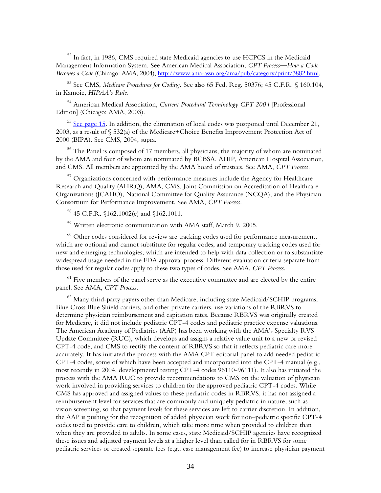<sup>52</sup> In fact, in 1986, CMS required state Medicaid agencies to use HCPCS in the Medicaid Management Information System. See American Medical Association, *CPT Process—How a Code Becomes a Code* (Chicago: AMA, 2004), [http://www.ama-assn.org/ama/pub/category/print/3882.html.](http://www.ama-assn.org/ama/pub/category/print/3882.html) 

53 See CMS, *Medicare Procedures for Coding.* See also 65 Fed. Reg. 50376; 45 C.F.R. § 160.104, in Kamoie, *HIPAA's Rule.*

54 American Medical Association, *Current Procedural Terminology CPT 2004* [Professional Edition] (Chicago: AMA, 2003).

 $55$  [See page 15.](#page-22-0) In addition, the elimination of local codes was postponed until December 21, 2003, as a result of § 532(a) of the Medicare+Choice Benefits Improvement Protection Act of 2000 (BIPA). See CMS, 2004, supra.

<sup>56</sup> The Panel is composed of 17 members, all physicians, the majority of whom are nominated by the AMA and four of whom are nominated by BCBSA, AHIP, American Hospital Association, and CMS. All members are appointed by the AMA board of trustees. See AMA, *CPT Process.*

 $57$  Organizations concerned with performance measures include the Agency for Healthcare Research and Quality (AHRQ), AMA, CMS, Joint Commission on Accreditation of Healthcare Organizations (JCAHO), National Committee for Quality Assurance (NCQA), and the Physician Consortium for Performance Improvement. See AMA, *CPT Process.*

58 45 C.F.R. §162.1002(e) and §162.1011.

59 Written electronic communication with AMA staff, March 9, 2005.

 $60$  Other codes considered for review are tracking codes used for performance measurement, which are optional and cannot substitute for regular codes, and temporary tracking codes used for new and emerging technologies, which are intended to help with data collection or to substantiate widespread usage needed in the FDA approval process. Different evaluation criteria separate from those used for regular codes apply to these two types of codes. See AMA, *CPT Process.*

 $61$  Five members of the panel serve as the executive committee and are elected by the entire panel. See AMA, *CPT Process.*

 $62$  Many third-party payers other than Medicare, including state Medicaid/SCHIP programs, Blue Cross Blue Shield carriers, and other private carriers, use variations of the RBRVS to determine physician reimbursement and capitation rates. Because RBRVS was originally created for Medicare, it did not include pediatric CPT-4 codes and pediatric practice expense valuations. The American Academy of Pediatrics (AAP) has been working with the AMA's Specialty RVS Update Committee (RUC), which develops and assigns a relative value unit to a new or revised CPT-4 code, and CMS to rectify the content of RBRVS so that it reflects pediatric care more accurately. It has initiated the process with the AMA CPT editorial panel to add needed pediatric CPT-4 codes, some of which have been accepted and incorporated into the CPT-4 manual (e.g., most recently in 2004, developmental testing CPT-4 codes 96110-96111). It also has initiated the process with the AMA RUC to provide recommendations to CMS on the valuation of physician work involved in providing services to children for the approved pediatric CPT-4 codes. While CMS has approved and assigned values to these pediatric codes in RBRVS, it has not assigned a reimbursement level for services that are commonly and uniquely pediatric in nature, such as vision screening, so that payment levels for these services are left to carrier discretion. In addition, the AAP is pushing for the recognition of added physician work for non–pediatric specific CPT-4 codes used to provide care to children, which take more time when provided to children than when they are provided to adults. In some cases, state Medicaid/SCHIP agencies have recognized these issues and adjusted payment levels at a higher level than called for in RBRVS for some pediatric services or created separate fees (e.g., case management fee) to increase physician payment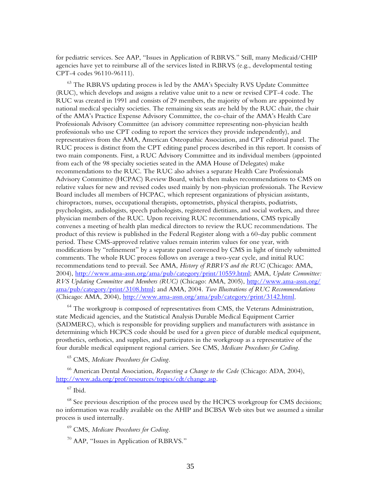for pediatric services. See AAP, "Issues in Application of RBRVS." Still, many Medicaid/CHIP agencies have yet to reimburse all of the services listed in RBRVS (e.g., developmental testing CPT-4 codes 96110-96111).

 $63$  The RBRVS updating process is led by the AMA's Specialty RVS Update Committee (RUC), which develops and assigns a relative value unit to a new or revised CPT-4 code. The RUC was created in 1991 and consists of 29 members, the majority of whom are appointed by national medical specialty societies. The remaining six seats are held by the RUC chair, the chair of the AMA's Practice Expense Advisory Committee, the co-chair of the AMA's Health Care Professionals Advisory Committee (an advisory committee representing non-physician health professionals who use CPT coding to report the services they provide independently), and representatives from the AMA, American Osteopathic Association, and CPT editorial panel. The RUC process is distinct from the CPT editing panel process described in this report. It consists of two main components. First, a RUC Advisory Committee and its individual members (appointed from each of the 98 specialty societies seated in the AMA House of Delegates) make recommendations to the RUC. The RUC also advises a separate Health Care Professionals Advisory Committee (HCPAC) Review Board, which then makes recommendations to CMS on relative values for new and revised codes used mainly by non-physician professionals. The Review Board includes all members of HCPAC, which represent organizations of physician assistants, chiropractors, nurses, occupational therapists, optometrists, physical therapists, podiatrists, psychologists, audiologists, speech pathologists, registered dietitians, and social workers, and three physician members of the RUC. Upon receiving RUC recommendations, CMS typically convenes a meeting of health plan medical directors to review the RUC recommendations. The product of this review is published in the Federal Register along with a 60-day public comment period. These CMS-approved relative values remain interim values for one year, with modifications by "refinement" by a separate panel convened by CMS in light of timely submitted comments. The whole RUC process follows on average a two-year cycle, and initial RUC recommendations tend to prevail. See AMA, *History of RBRVS and the RUC* (Chicago: AMA, 2004), [http://www.ama-assn.org/ama/pub/category/print/10559.html;](http://www.ama-assn.org/ama/pub/category/print/10559.html) AMA, *Update Committee: RVS Updating Committee and Members (RUC)* (Chicago: AMA, 2005), [http://www.ama-assn.org/](http://www.ama-assn.org/ama/pub/category/print/3108.html) [ama/pub/category/print/3108.html;](http://www.ama-assn.org/ama/pub/category/print/3108.html) and AMA, 2004. *Two Illustrations of RUC Recommendations* (Chicago: AMA, 2004), [http://www.ama-assn.org/ama/pub/category/print/3142.html.](http://www.ama-assn.org/ama/pub/category/print/3142.html) 

 $64$  The workgroup is composed of representatives from CMS, the Veterans Administration, state Medicaid agencies, and the Statistical Analysis Durable Medical Equipment Carrier (SADMERC), which is responsible for providing suppliers and manufacturers with assistance in determining which HCPCS code should be used for a given piece of durable medical equipment, prosthetics, orthotics, and supplies, and participates in the workgroup as a representative of the four durable medical equipment regional carriers. See CMS, *Medicare Procedures for Coding.*

65 CMS, *Medicare Procedures for Coding.*

66 American Dental Association, *Requesting a Change to the Code* (Chicago: ADA, 2004), [http://www.ada.org/prof/resources/topics/cdt/change.asp.](http://www.ada.org/prof/resources/topics/cdt/change.asp)

 $67$  Ibid.

 $68$  See previous description of the process used by the HCPCS workgroup for CMS decisions; no information was readily available on the AHIP and BCBSA Web sites but we assumed a similar process is used internally.

69 CMS, *Medicare Procedures for Coding.*

 $70$  AAP, "Issues in Application of RBRVS."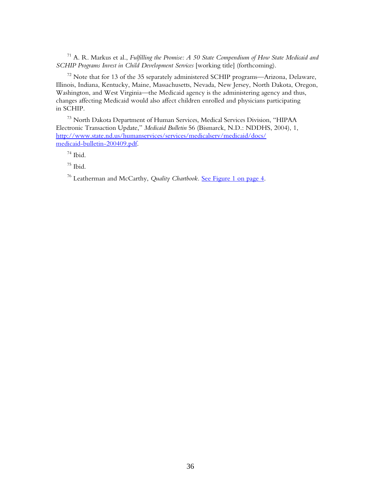71 A. R. Markus et al., *Fulfilling the Promise: A 50 State Compendium of How State Medicaid and SCHIP Programs Invest in Child Development Services* [working title] (forthcoming).

 $72$  Note that for 13 of the 35 separately administered SCHIP programs—Arizona, Delaware, Illinois, Indiana, Kentucky, Maine, Massachusetts, Nevada, New Jersey, North Dakota, Oregon, Washington, and West Virginia—the Medicaid agency is the administering agency and thus, changes affecting Medicaid would also affect children enrolled and physicians participating in SCHIP.

73 North Dakota Department of Human Services, Medical Services Division, "HIPAA Electronic Transaction Update," *Medicaid Bulletin* 56 (Bismarck, N.D.: NDDHS, 2004), 1, [http://www.state.nd.us/humanservices/services/medicalserv/medicaid/docs/](http://www.state.nd.us/humanservices/services/medicalserv/medicaid/docs/medicaid-bulletin-200409.pdf) medicaid-bulletin-200409.pdf.

 $74$  Ibid.

 $75$  Ibid.

76 Leatherman and McCarthy, *Quality Chartbook.* [See Figure 1 on page 4.](#page-11-0)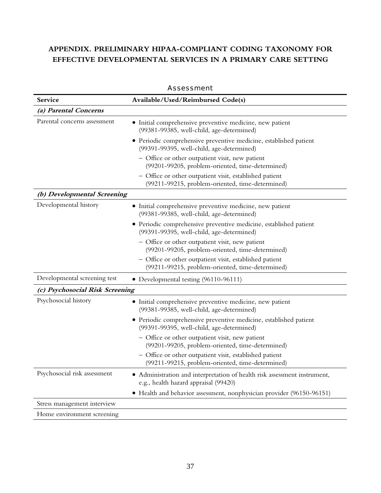## <span id="page-44-0"></span>**APPENDIX. PRELIMINARY HIPAA-COMPLIANT CODING TAXONOMY FOR EFFECTIVE DEVELOPMENTAL SERVICES IN A PRIMARY CARE SETTING**

|                                 | <b>JCJJIII</b> UII                                                                                                 |
|---------------------------------|--------------------------------------------------------------------------------------------------------------------|
| Service                         | Available/Used/Reimbursed Code(s)                                                                                  |
| (a) Parental Concerns           |                                                                                                                    |
| Parental concerns assessment    | • Initial comprehensive preventive medicine, new patient<br>(99381-99385, well-child, age-determined)              |
|                                 | • Periodic comprehensive preventive medicine, established patient<br>(99391-99395, well-child, age-determined)     |
|                                 | - Office or other outpatient visit, new patient<br>(99201-99205, problem-oriented, time-determined)                |
|                                 | Office or other outpatient visit, established patient<br>(99211-99215, problem-oriented, time-determined)          |
| (b) Developmental Screening     |                                                                                                                    |
| Developmental history           | Initial comprehensive preventive medicine, new patient<br>(99381-99385, well-child, age-determined)                |
|                                 | • Periodic comprehensive preventive medicine, established patient<br>(99391-99395, well-child, age-determined)     |
|                                 | - Office or other outpatient visit, new patient<br>(99201-99205, problem-oriented, time-determined)                |
|                                 | - Office or other outpatient visit, established patient<br>(99211-99215, problem-oriented, time-determined)        |
| Developmental screening test    | • Developmental testing (96110-96111)                                                                              |
| (c) Psychosocial Risk Screening |                                                                                                                    |
| Psychosocial history            | • Initial comprehensive preventive medicine, new patient<br>(99381-99385, well-child, age-determined)              |
|                                 | • Periodic comprehensive preventive medicine, established patient<br>(99391-99395, well-child, age-determined)     |
|                                 | - Office or other outpatient visit, new patient<br>(99201-99205, problem-oriented, time-determined)                |
|                                 | Office or other outpatient visit, established patient<br>(99211-99215, problem-oriented, time-determined)          |
| Psychosocial risk assessment    | • Administration and interpretation of health risk assessment instrument,<br>e.g., health hazard appraisal (99420) |
|                                 | • Health and behavior assessment, nonphysician provider (96150-96151)                                              |
| Stress management interview     |                                                                                                                    |
| Home environment screening      |                                                                                                                    |

#### Assessment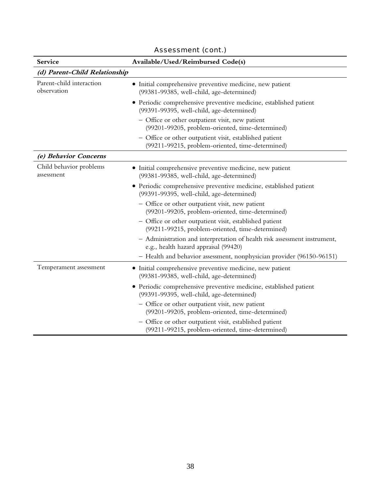| Service                                 | Available/Used/Reimbursed Code(s)                                                                                  |  |
|-----------------------------------------|--------------------------------------------------------------------------------------------------------------------|--|
| (d) Parent-Child Relationship           |                                                                                                                    |  |
| Parent-child interaction<br>observation | Initial comprehensive preventive medicine, new patient<br>(99381-99385, well-child, age-determined)                |  |
|                                         | • Periodic comprehensive preventive medicine, established patient<br>(99391-99395, well-child, age-determined)     |  |
|                                         | - Office or other outpatient visit, new patient<br>(99201-99205, problem-oriented, time-determined)                |  |
|                                         | - Office or other outpatient visit, established patient<br>(99211-99215, problem-oriented, time-determined)        |  |
| (e) Behavior Concerns                   |                                                                                                                    |  |
| Child behavior problems<br>assessment   | Initial comprehensive preventive medicine, new patient<br>(99381-99385, well-child, age-determined)                |  |
|                                         | • Periodic comprehensive preventive medicine, established patient<br>(99391-99395, well-child, age-determined)     |  |
|                                         | - Office or other outpatient visit, new patient<br>(99201-99205, problem-oriented, time-determined)                |  |
|                                         | - Office or other outpatient visit, established patient<br>(99211-99215, problem-oriented, time-determined)        |  |
|                                         | - Administration and interpretation of health risk assessment instrument,<br>e.g., health hazard appraisal (99420) |  |
|                                         | - Health and behavior assessment, nonphysician provider (96150-96151)                                              |  |
| Temperament assessment                  | • Initial comprehensive preventive medicine, new patient<br>(99381-99385, well-child, age-determined)              |  |
|                                         | • Periodic comprehensive preventive medicine, established patient<br>(99391-99395, well-child, age-determined)     |  |
|                                         | - Office or other outpatient visit, new patient<br>(99201-99205, problem-oriented, time-determined)                |  |
|                                         | - Office or other outpatient visit, established patient<br>(99211-99215, problem-oriented, time-determined)        |  |

## Assessment (cont.)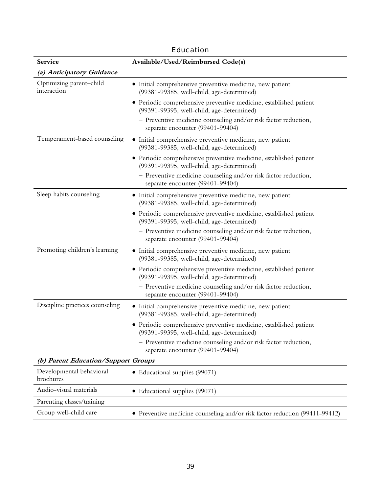| cuucation                              |                                                                                                                |  |
|----------------------------------------|----------------------------------------------------------------------------------------------------------------|--|
| Service                                | Available/Used/Reimbursed Code(s)                                                                              |  |
| (a) Anticipatory Guidance              |                                                                                                                |  |
| Optimizing parent-child<br>interaction | • Initial comprehensive preventive medicine, new patient<br>(99381-99385, well-child, age-determined)          |  |
|                                        | • Periodic comprehensive preventive medicine, established patient<br>(99391-99395, well-child, age-determined) |  |
|                                        | - Preventive medicine counseling and/or risk factor reduction,<br>separate encounter (99401-99404)             |  |
| Temperament-based counseling           | • Initial comprehensive preventive medicine, new patient<br>(99381-99385, well-child, age-determined)          |  |
|                                        | • Periodic comprehensive preventive medicine, established patient<br>(99391-99395, well-child, age-determined) |  |
|                                        | - Preventive medicine counseling and/or risk factor reduction,<br>separate encounter (99401-99404)             |  |
| Sleep habits counseling                | • Initial comprehensive preventive medicine, new patient<br>(99381-99385, well-child, age-determined)          |  |
|                                        | • Periodic comprehensive preventive medicine, established patient<br>(99391-99395, well-child, age-determined) |  |
|                                        | - Preventive medicine counseling and/or risk factor reduction,<br>separate encounter (99401-99404)             |  |
| Promoting children's learning          | • Initial comprehensive preventive medicine, new patient<br>(99381-99385, well-child, age-determined)          |  |
|                                        | • Periodic comprehensive preventive medicine, established patient<br>(99391-99395, well-child, age-determined) |  |
|                                        | - Preventive medicine counseling and/or risk factor reduction,<br>separate encounter (99401-99404)             |  |
| Discipline practices counseling        | · Initial comprehensive preventive medicine, new patient<br>(99381-99385, well-child, age-determined)          |  |
|                                        | • Periodic comprehensive preventive medicine, established patient<br>(99391-99395, well-child, age-determined) |  |
|                                        | - Preventive medicine counseling and/or risk factor reduction,<br>separate encounter (99401-99404)             |  |
| (b) Parent Education/Support Groups    |                                                                                                                |  |
| Developmental behavioral<br>brochures  | • Educational supplies (99071)                                                                                 |  |
| Audio-visual materials                 | Educational supplies (99071)<br>$\bullet$                                                                      |  |
| Parenting classes/training             |                                                                                                                |  |
| Group well-child care                  | • Preventive medicine counseling and/or risk factor reduction (99411-99412)                                    |  |

Education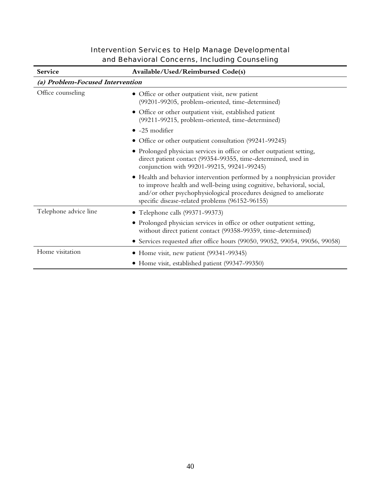| <b>Intervention Services to Help Manage Developmental</b> |
|-----------------------------------------------------------|
| and Behavioral Concerns, Including Counseling             |

| <b>Service</b>                   | Available/Used/Reimbursed Code(s)                                                                                                                                                                                                                                         |  |
|----------------------------------|---------------------------------------------------------------------------------------------------------------------------------------------------------------------------------------------------------------------------------------------------------------------------|--|
| (a) Problem-Focused Intervention |                                                                                                                                                                                                                                                                           |  |
| Office counseling                | Office or other outpatient visit, new patient<br>(99201-99205, problem-oriented, time-determined)                                                                                                                                                                         |  |
|                                  | · Office or other outpatient visit, established patient<br>(99211-99215, problem-oriented, time-determined)                                                                                                                                                               |  |
|                                  | $\bullet$ -25 modifier                                                                                                                                                                                                                                                    |  |
|                                  | • Office or other outpatient consultation (99241-99245)                                                                                                                                                                                                                   |  |
|                                  | Prolonged physician services in office or other outpatient setting,<br>$\bullet$<br>direct patient contact (99354-99355, time-determined, used in<br>conjunction with 99201-99215, 99241-99245)                                                                           |  |
|                                  | • Health and behavior intervention performed by a nonphysician provider<br>to improve health and well-being using cognitive, behavioral, social,<br>and/or other psychophysiological procedures designed to ameliorate<br>specific disease-related problems (96152-96155) |  |
| Telephone advice line            | • Telephone calls (99371-99373)                                                                                                                                                                                                                                           |  |
|                                  | • Prolonged physician services in office or other outpatient setting,<br>without direct patient contact (99358-99359, time-determined)                                                                                                                                    |  |
|                                  | Services requested after office hours (99050, 99052, 99054, 99056, 99058)                                                                                                                                                                                                 |  |
| Home visitation                  | Home visit, new patient (99341-99345)<br>$\bullet$                                                                                                                                                                                                                        |  |
|                                  | • Home visit, established patient (99347-99350)                                                                                                                                                                                                                           |  |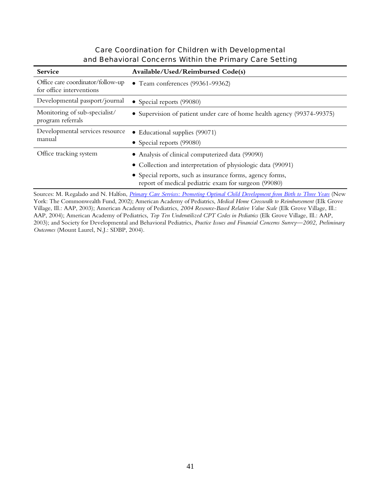## Care Coordination for Children with Developmental and Behavioral Concerns Within the Primary Care Setting

| Service                                                       | Available/Used/Reimbursed Code(s)                                                                                                                                                                                                    |
|---------------------------------------------------------------|--------------------------------------------------------------------------------------------------------------------------------------------------------------------------------------------------------------------------------------|
| Office care coordinator/follow-up<br>for office interventions | • Team conferences (99361-99362)                                                                                                                                                                                                     |
| Developmental passport/journal                                | • Special reports (99080)                                                                                                                                                                                                            |
| Monitoring of sub-specialist/<br>program referrals            | • Supervision of patient under care of home health agency (99374-99375)                                                                                                                                                              |
| Developmental services resource<br>manual                     | Educational supplies (99071)<br>$\bullet$<br>• Special reports (99080)                                                                                                                                                               |
| Office tracking system                                        | • Analysis of clinical computerized data (99090)<br>• Collection and interpretation of physiologic data (99091)<br>• Special reports, such as insurance forms, agency forms,<br>report of medical pediatric exam for surgeon (99080) |

Sources: M. Regalado and N. Halfon, *[Primary Care Services: Promoting Optimal Child Development from Birth to Three Years](http://www.cmwf.org/publications/publications_show.htm?doc_id=221268)* (New York: The Commonwealth Fund, 2002); American Academy of Pediatrics, *Medical Home Crosswalk to Reimbursement* (Elk Grove Village, Ill.: AAP, 2003); American Academy of Pediatrics, *2004 Resource-Based Relative Value Scale* (Elk Grove Village, Ill.: AAP, 2004); American Academy of Pediatrics, *Top Ten Underutilized CPT Codes in Pediatrics* (Elk Grove Village, Ill.: AAP, 2003); and Society for Developmental and Behavioral Pediatrics, *Practice Issues and Financial Concerns Survey—2002, Preliminary Outcomes* (Mount Laurel, N.J.: SDBP, 2004).